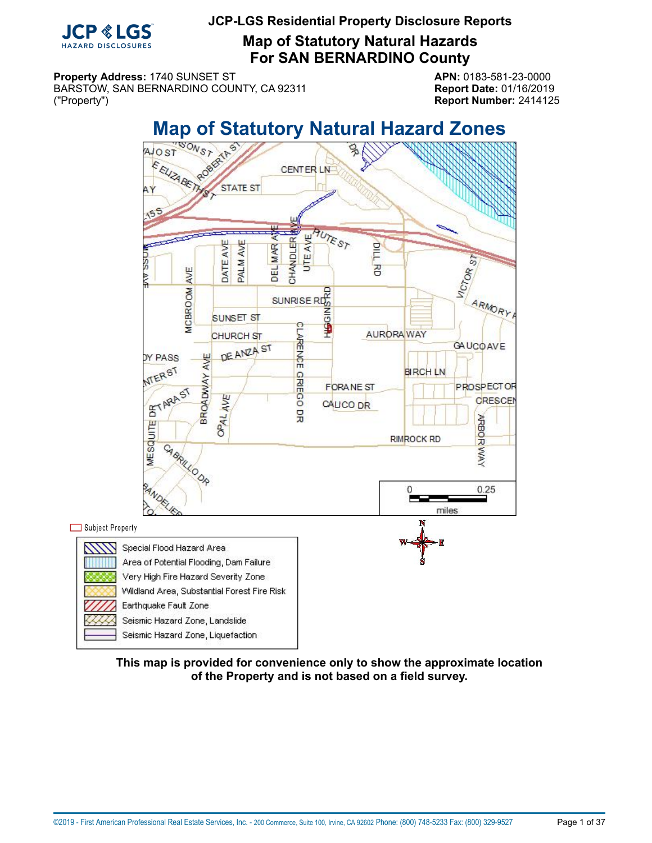

**Map of Statutory Natural Hazards For SAN BERNARDINO County**

**Property Address:** 1740 SUNSET ST **APN:** 0183-581-23-0000 BARSTOW, SAN BERNARDINO COUNTY, CA 92311 **Report Date:** 01/16/2019 ("Property") **Report Number:** 2414125

<span id="page-0-0"></span>

**This map is provided for convenience only to show the approximate location of the Property and is not based on a field survey.**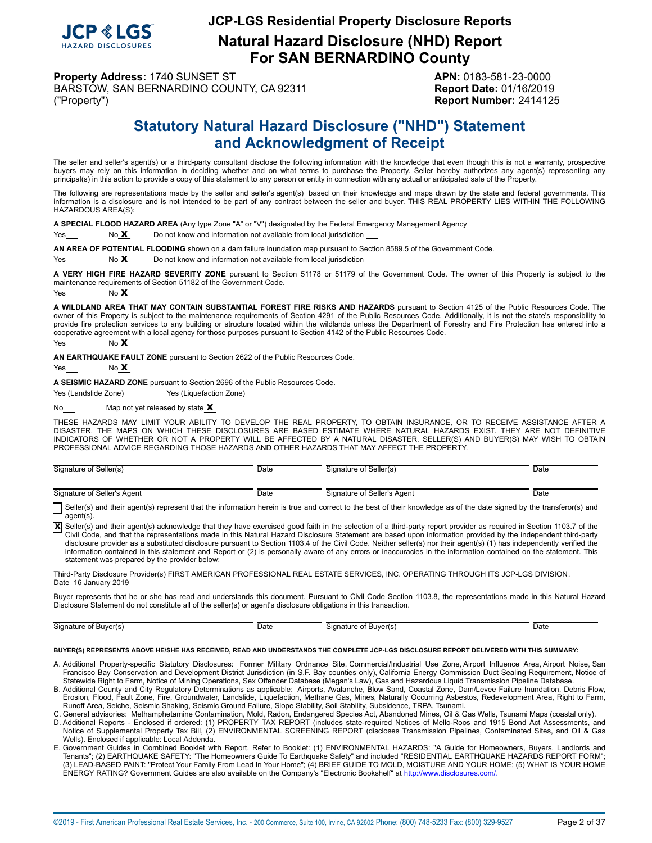

**Natural Hazard Disclosure (NHD) Report For SAN BERNARDINO County**

**Property Address:** 1740 SUNSET ST **APN:** 0183-581-23-0000 BARSTOW, SAN BERNARDINO COUNTY, CA 92311 **Report Date:** 01/16/2019 ("Property") **Report Number:** 2414125

# **Statutory Natural Hazard Disclosure ("NHD") Statement and Acknowledgment of Receipt**

<span id="page-1-0"></span>The seller and seller's agent(s) or a third-party consultant disclose the following information with the knowledge that even though this is not a warranty, prospective buyers may rely on this information in deciding whether and on what terms to purchase the Property. Seller hereby authorizes any agent(s) representing any principal(s) in this action to provide a copy of this statement to any person or entity in connection with any actual or anticipated sale of the Property.

The following are representations made by the seller and seller's agent(s) based on their knowledge and maps drawn by the state and federal governments. This information is a disclosure and is not intended to be part of any contract between the seller and buyer. THIS REAL PROPERTY LIES WITHIN THE FOLLOWING HAZARDOUS AREA(S):

**A SPECIAL FLOOD HAZARD AREA** (Any type Zone "A" or "V") designated by the Federal Emergency Management Agency

Yes No X Do not know and information not available from local jurisdiction

**AN AREA OF POTENTIAL FLOODING** shown on a dam failure inundation map pursuant to Section 8589.5 of the Government Code.

 $Yes  $\sim$  No X  $\sim$  Do not know and information not available from local jurisdiction$ 

**A VERY HIGH FIRE HAZARD SEVERITY ZONE** pursuant to Section 51178 or 51179 of the Government Code. The owner of this Property is subject to the maintenance requirements of Section 51182 of the Government Code.

Yes  $N<sub>0</sub> X$ 

**A WILDLAND AREA THAT MAY CONTAIN SUBSTANTIAL FOREST FIRE RISKS AND HAZARDS** pursuant to Section 4125 of the Public Resources Code. The owner of this Property is subject to the maintenance requirements of Section 4291 of the Public Resources Code. Additionally, it is not the state's responsibility to provide fire protection services to any building or structure located within the wildlands unless the Department of Forestry and Fire Protection has entered into a cooperative agreement with a local agency for those purposes pursuant to Section 4142 of the Public Resources Code.

Yes No **X** 

**AN EARTHQUAKE FAULT ZONE** pursuant to Section 2622 of the Public Resources Code.

 $Yes$  No  $X$ 

**A SEISMIC HAZARD ZONE** pursuant to Section 2696 of the Public Resources Code.

Yes (Landslide Zone) Yes (Liquefaction Zone)

No $\frac{\mathbf{M}}{2}$  Map not yet released by state  $\mathbf{X}$ 

THESE HAZARDS MAY LIMIT YOUR ABILITY TO DEVELOP THE REAL PROPERTY, TO OBTAIN INSURANCE, OR TO RECEIVE ASSISTANCE AFTER A<br>DISASTER. THE MAPS ON WHICH THESE DISCLOSURES ARE BASED ESTIMATE WHERE NATURAL HAZARDS EXIST. THEY AR PROFESSIONAL ADVICE REGARDING THOSE HAZARDS AND OTHER HAZARDS THAT MAY AFFECT THE PROPERTY.

| Signature of Seller(s)      | Date | Signature of Seller(s)      | Date |
|-----------------------------|------|-----------------------------|------|
| Signature of Seller's Agent | Date | Signature of Seller's Agent | Date |

Seller(s) and their agent(s) represent that the information herein is true and correct to the best of their knowledge as of the date signed by the transferor(s) and agent(s).

X Seller(s) and their agent(s) acknowledge that they have exercised good faith in the selection of a third-party report provider as required in Section 1103.7 of the Civil Code, and that the representations made in this Natural Hazard Disclosure Statement are based upon information provided by the independent third-party disclosure provider as a substituted disclosure pursuant to Section 1103.4 of the Civil Code. Neither seller(s) nor their agent(s) (1) has independently verified the information contained in this statement and Report or (2) is personally aware of any errors or inaccuracies in the information contained on the statement. This statement was prepared by the provider below:

Third-Party Disclosure Provider(s) FIRST AMERICAN PROFESSIONAL REAL ESTATE SERVICES, INC. OPERATING THROUGH ITS JCP-LGS DIVISION. Date 16 January 2019

Buyer represents that he or she has read and understands this document. Pursuant to Civil Code Section 1103.8, the representations made in this Natural Hazard Disclosure Statement do not constitute all of the seller(s) or agent's disclosure obligations in this transaction.

Signature of Buyer(s) Date Signature of Buyer(s) Date Date Date Date Signature of Buyer(s)

#### **BUYER(S) REPRESENTS ABOVE HE/SHE HAS RECEIVED, READ AND UNDERSTANDS THE COMPLETE JCP-LGS DISCLOSURE REPORT DELIVERED WITH THIS SUMMARY:**

- A. Additional Property-specific Statutory Disclosures: Former Military Ordnance Site, Commercial/Industrial Use Zone, Airport Influence Area, Airport Noise, San Francisco Bay Conservation and Development District Jurisdiction (in S.F. Bay counties only), California Energy Commission Duct Sealing Requirement, Notice of<br>Statewide Right to Farm, Notice of Mining Operations, Sex Offen
- B. Additional County and City Regulatory Determinations as applicable: Airports, Avalanche, Blow Sand, Coastal Zone, Dam/Levee Failure Inundation, Debris Flow, Erosion, Flood, Fault Zone, Fire, Groundwater, Landslide, Liquefaction, Methane Gas, Mines, Naturally Occurring Asbestos, Redevelopment Area, Right to Farm,
- Runoff Area, Seiche, Seismic Shaking, Seismic Ground Failure, Slope Stability, Soil Stability, Subsidence, TRPA, Tsunami.<br>C. General advisories: Methamphetamine Contamination, Mold, Radon, Endangered Species Act, Abandoned
- D. Additional Reports Enclosed if ordered: (1) PROPERTY TAX REPORT (includes state-required Notices of Mello-Roos and 1915 Bond Act Assessments, and<br>Notice of Supplemental Property Tax Bill, (2) ENVIRONMENTAL SCREENING R Wells). Enclosed if applicable: Local Addenda.
- E. Government Guides in Combined Booklet with Report. Refer to Booklet: (1) ENVIRONMENTAL HAZARDS: "A Guide for Homeowners, Buyers, Landlords and Tenants"; (2) EARTHQUAKE SAFETY: "The Homeowners Guide To Earthquake Safety" and included "RESIDENTIAL EARTHQUAKE HAZARDS REPORT FORM"; (3) LEAD-BASED PAINT: "Protect Your Family From Lead In Your Home"; (4) BRIEF GUIDE TO MOLD, MOISTURE AND YOUR HOME; (5) WHAT IS YOUR HOME ENERGY RATING? Government Guides are also available on the Company's "Electronic Bookshelf" at http://www.disclosures.com/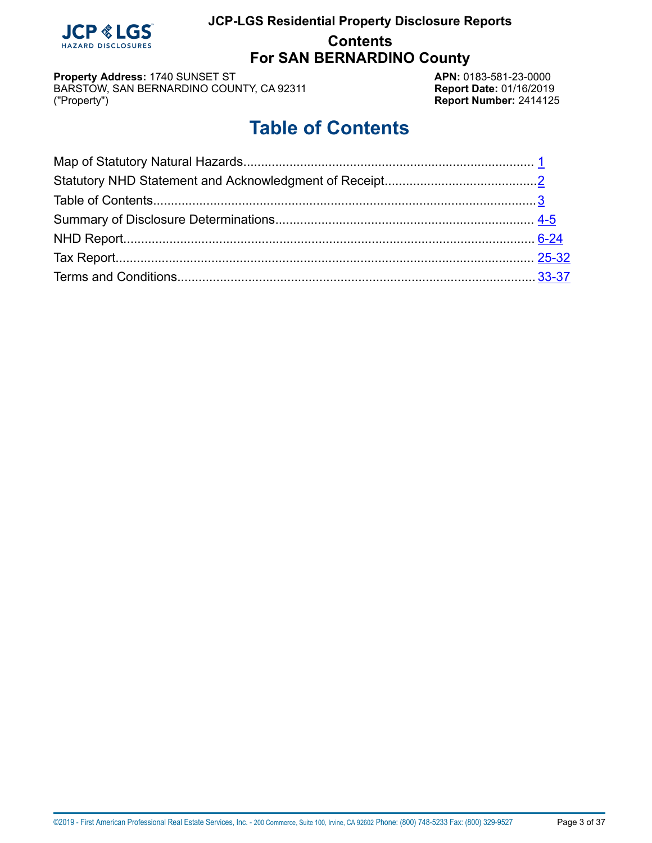

**For SAN BERNARDINO County**

**Property Address:** 1740 SUNSET ST<br>BARSTOW, SAN BERNARDINO COUNTY, CA 92311 **APN:** 0183-581-23-0000 BARSTOW, SAN BERNARDINO COUNTY, CA 92311 ("Property")

**Report Number: 2414125** 

# **Table of Contents**

<span id="page-2-0"></span>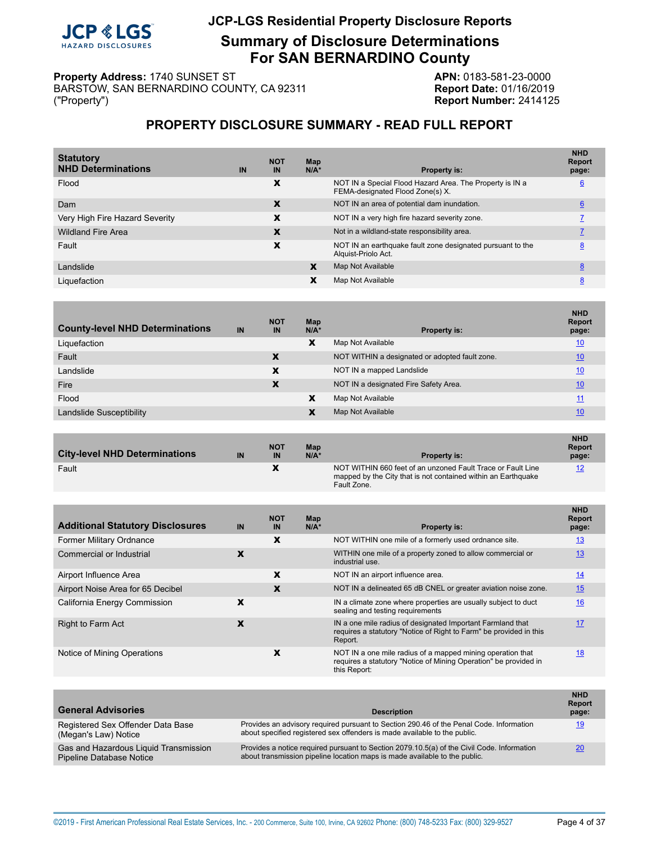### **JCP &** HAZARD DISCLOSURES

# **JCP-LGS Residential Property Disclosure Reports**

**Summary of Disclosure Determinations For SAN BERNARDINO County**

**Property Address:** 1740 SUNSET ST<br>BARSTOW, SAN BERNARDINO COUNTY, CA 92311 **APN: APN:** 0183-581-23-0000 BARSTOW, SAN BERNARDINO COUNTY, CA 92311 ("Property")

**Report Number: 2414125** 

# **PROPERTY DISCLOSURE SUMMARY - READ FULL REPORT**

<span id="page-3-0"></span>

| <b>Statutory</b><br><b>NHD Determinations</b> | IN | <b>NOT</b><br>IN | Map<br>$N/A^*$ | <b>Property is:</b>                                                                          | <b>NHD</b><br><b>Report</b><br>page: |
|-----------------------------------------------|----|------------------|----------------|----------------------------------------------------------------------------------------------|--------------------------------------|
| Flood                                         |    | X                |                | NOT IN a Special Flood Hazard Area. The Property is IN a<br>FEMA-designated Flood Zone(s) X. | $6\overline{6}$                      |
| Dam                                           |    | X                |                | NOT IN an area of potential dam inundation.                                                  | 6                                    |
| Very High Fire Hazard Severity                |    | X                |                | NOT IN a very high fire hazard severity zone.                                                |                                      |
| <b>Wildland Fire Area</b>                     |    | X                |                | Not in a wildland-state responsibility area.                                                 |                                      |
| Fault                                         |    | X                |                | NOT IN an earthquake fault zone designated pursuant to the<br>Alguist-Priolo Act.            | 8                                    |
| Landslide                                     |    |                  | X              | Map Not Available                                                                            | 8                                    |
| Liquefaction                                  |    |                  | x              | Map Not Available                                                                            | 8                                    |
|                                               |    |                  |                |                                                                                              |                                      |

| IN | <b>NOT</b><br>IN | Map<br>$N/A^*$ | <b>Property is:</b>                            | <b>NHD</b><br><b>Report</b><br>page: |
|----|------------------|----------------|------------------------------------------------|--------------------------------------|
|    |                  | X              | Map Not Available                              | 10                                   |
|    | X                |                | NOT WITHIN a designated or adopted fault zone. | 10                                   |
|    | X                |                | NOT IN a mapped Landslide                      | 10                                   |
|    | X                |                | NOT IN a designated Fire Safety Area.          | 10                                   |
|    |                  | X              | Map Not Available                              | 11                                   |
|    |                  |                | Map Not Available                              | 10                                   |
|    |                  |                |                                                |                                      |

| <b>City-level NHD Determinations</b> | IN | <b>NOT</b><br>IN | Map<br>$N/A^*$ | <b>Property is:</b>                                                                                                                         | <b>NHD</b><br><b>Report</b><br>page: |
|--------------------------------------|----|------------------|----------------|---------------------------------------------------------------------------------------------------------------------------------------------|--------------------------------------|
| Fault                                |    |                  |                | NOT WITHIN 660 feet of an unzoned Fault Trace or Fault Line<br>mapped by the City that is not contained within an Earthquake<br>Fault Zone. | 12                                   |

| <b>Additional Statutory Disclosures</b> | IN | <b>NOT</b><br>IN | Map<br>$N/A^*$ | <b>Property is:</b>                                                                                                                            | <b>NHD</b><br><b>Report</b><br>page: |
|-----------------------------------------|----|------------------|----------------|------------------------------------------------------------------------------------------------------------------------------------------------|--------------------------------------|
| <b>Former Military Ordnance</b>         |    | x                |                | NOT WITHIN one mile of a formerly used ordnance site.                                                                                          | <u>13</u>                            |
| Commercial or Industrial                | X  |                  |                | WITHIN one mile of a property zoned to allow commercial or<br>industrial use.                                                                  | 13                                   |
| Airport Influence Area                  |    | x                |                | NOT IN an airport influence area.                                                                                                              | <u>14</u>                            |
| Airport Noise Area for 65 Decibel       |    | X                |                | NOT IN a delineated 65 dB CNEL or greater aviation noise zone.                                                                                 | 15                                   |
| California Energy Commission            | X  |                  |                | IN a climate zone where properties are usually subject to duct<br>sealing and testing requirements                                             | 16                                   |
| <b>Right to Farm Act</b>                | X  |                  |                | IN a one mile radius of designated Important Farmland that<br>requires a statutory "Notice of Right to Farm" be provided in this<br>Report.    | 17                                   |
| Notice of Mining Operations             |    | x                |                | NOT IN a one mile radius of a mapped mining operation that<br>requires a statutory "Notice of Mining Operation" be provided in<br>this Report: | <u>18</u>                            |

| <b>General Advisories</b>                                         | <b>Description</b>                                                                                                                                                       | <b>NHD</b><br><b>Report</b><br>page: |
|-------------------------------------------------------------------|--------------------------------------------------------------------------------------------------------------------------------------------------------------------------|--------------------------------------|
| Registered Sex Offender Data Base<br>(Megan's Law) Notice         | Provides an advisory required pursuant to Section 290.46 of the Penal Code. Information<br>about specified registered sex offenders is made available to the public.     | 19                                   |
| Gas and Hazardous Liquid Transmission<br>Pipeline Database Notice | Provides a notice required pursuant to Section 2079.10.5(a) of the Civil Code. Information<br>about transmission pipeline location maps is made available to the public. | 20                                   |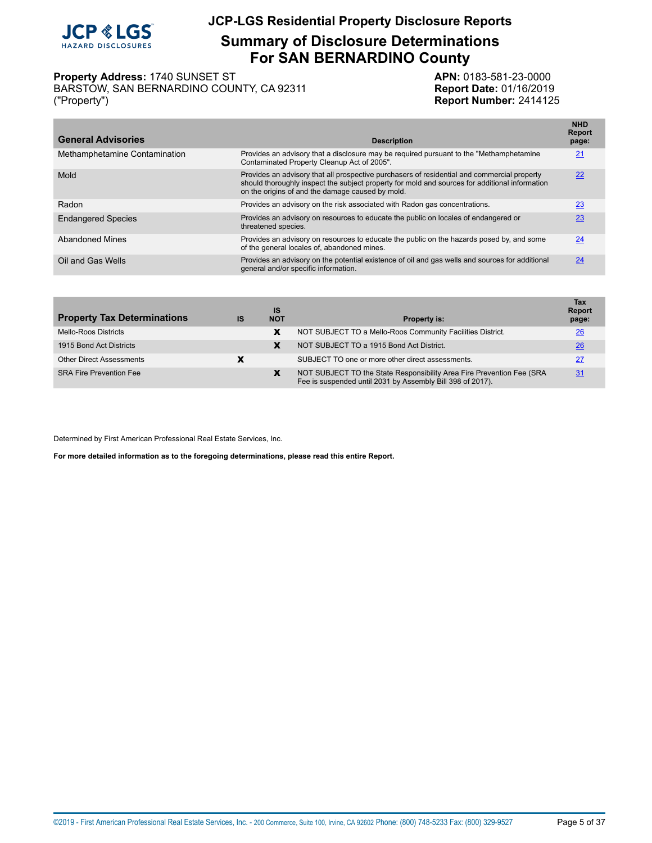

**Summary of Disclosure Determinations For SAN BERNARDINO County**

#### **Property Address:** 1740 SUNSET ST<br>BARSTOW, SAN BERNARDINO COUNTY, CA 92311 **APN: APN:** 0183-581-23-0000 BARSTOW, SAN BERNARDINO COUNTY, CA 92311

("Property") **Report Number:** 2414125

| <b>General Advisories</b>     | <b>Description</b>                                                                                                                                                                                                                                | <b>NHD</b><br><b>Report</b><br>page: |
|-------------------------------|---------------------------------------------------------------------------------------------------------------------------------------------------------------------------------------------------------------------------------------------------|--------------------------------------|
| Methamphetamine Contamination | Provides an advisory that a disclosure may be required pursuant to the "Methamphetamine"<br>Contaminated Property Cleanup Act of 2005".                                                                                                           | 21                                   |
| Mold                          | Provides an advisory that all prospective purchasers of residential and commercial property<br>should thoroughly inspect the subject property for mold and sources for additional information<br>on the origins of and the damage caused by mold. | 22                                   |
| Radon                         | Provides an advisory on the risk associated with Radon gas concentrations.                                                                                                                                                                        | 23                                   |
| <b>Endangered Species</b>     | Provides an advisory on resources to educate the public on locales of endangered or<br>threatened species.                                                                                                                                        | 23                                   |
| <b>Abandoned Mines</b>        | Provides an advisory on resources to educate the public on the hazards posed by, and some<br>of the general locales of, abandoned mines.                                                                                                          | 24                                   |
| Oil and Gas Wells             | Provides an advisory on the potential existence of oil and gas wells and sources for additional<br>general and/or specific information.                                                                                                           | 24                                   |
|                               |                                                                                                                                                                                                                                                   |                                      |

| <b>Property Tax Determinations</b> | IS | <b>IS</b><br><b>NOT</b> | <b>Property is:</b>                                                                                                                 | Tax<br><b>Report</b><br>page: |
|------------------------------------|----|-------------------------|-------------------------------------------------------------------------------------------------------------------------------------|-------------------------------|
| Mello-Roos Districts               |    | x                       | NOT SUBJECT TO a Mello-Roos Community Facilities District.                                                                          | 26                            |
| 1915 Bond Act Districts            |    | X                       | NOT SUBJECT TO a 1915 Bond Act District.                                                                                            | 26                            |
| <b>Other Direct Assessments</b>    |    |                         | SUBJECT TO one or more other direct assessments.                                                                                    | 27                            |
| <b>SRA Fire Prevention Fee</b>     |    | X                       | NOT SUBJECT TO the State Responsibility Area Fire Prevention Fee (SRA<br>Fee is suspended until 2031 by Assembly Bill 398 of 2017). | 31                            |

Determined by First American Professional Real Estate Services, Inc.

**For more detailed information as to the foregoing determinations, please read this entire Report.**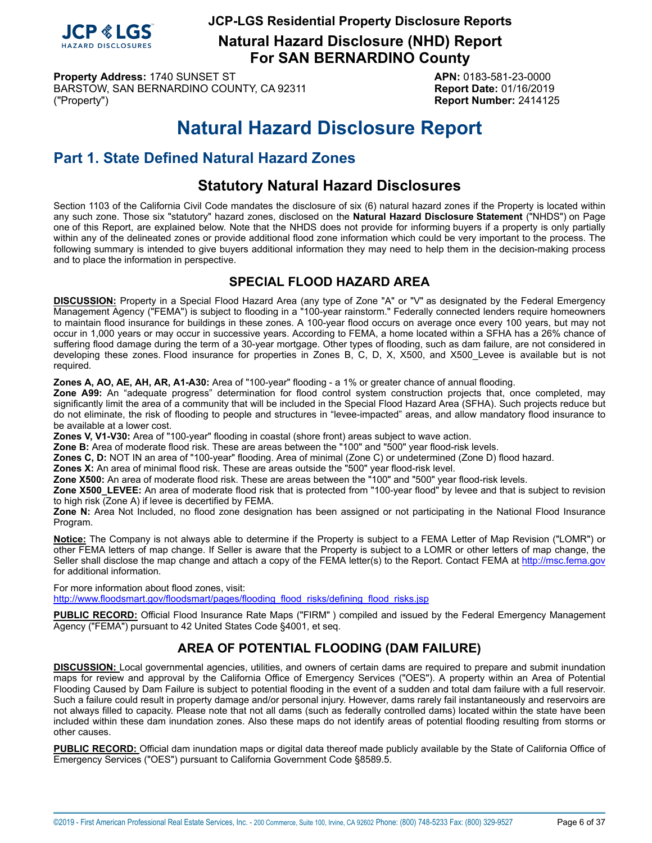

**Natural Hazard Disclosure (NHD) Report For SAN BERNARDINO County**

**Property Address:** 1740 SUNSET ST **APN:** 0183-581-23-0000 BARSTOW, SAN BERNARDINO COUNTY, CA 92311 Report Date: 01/16/2019 ("Property") **Report Number:** 2414125

# **Natural Hazard Disclosure Report**

# <span id="page-5-0"></span>**Part 1. State Defined Natural Hazard Zones**

# **Statutory Natural Hazard Disclosures**

Section 1103 of the California Civil Code mandates the disclosure of six (6) natural hazard zones if the Property is located within any such zone. Those six "statutory" hazard zones, disclosed on the **Natural Hazard Disclosure Statement** ("NHDS") on Page one of this Report, are explained below. Note that the NHDS does not provide for informing buyers if a property is only partially within any of the delineated zones or provide additional flood zone information which could be very important to the process. The following summary is intended to give buyers additional information they may need to help them in the decision-making process and to place the information in perspective.

# **SPECIAL FLOOD HAZARD AREA**

<span id="page-5-1"></span>**DISCUSSION:** Property in a Special Flood Hazard Area (any type of Zone "A" or "V" as designated by the Federal Emergency Management Agency ("FEMA") is subject to flooding in a "100-year rainstorm." Federally connected lenders require homeowners to maintain flood insurance for buildings in these zones. A 100-year flood occurs on average once every 100 years, but may not occur in 1,000 years or may occur in successive years. According to FEMA, a home located within a SFHA has a 26% chance of suffering flood damage during the term of a 30-year mortgage. Other types of flooding, such as dam failure, are not considered in developing these zones. Flood insurance for properties in Zones B, C, D, X, X500, and X500\_Levee is available but is not required.

**Zones A, AO, AE, AH, AR, A1-A30:** Area of "100-year" flooding - a 1% or greater chance of annual flooding.

**Zone A99:** An "adequate progress" determination for flood control system construction projects that, once completed, may significantly limit the area of a community that will be included in the Special Flood Hazard Area (SFHA). Such projects reduce but do not eliminate, the risk of flooding to people and structures in "levee-impacted" areas, and allow mandatory flood insurance to be available at a lower cost.

**Zones V, V1-V30:** Area of "100-year" flooding in coastal (shore front) areas subject to wave action.

**Zone B:** Area of moderate flood risk. These are areas between the "100" and "500" year flood-risk levels.

**Zones C, D:** NOT IN an area of "100-year" flooding. Area of minimal (Zone C) or undetermined (Zone D) flood hazard.

**Zones X:** An area of minimal flood risk. These are areas outside the "500" year flood-risk level.

**Zone X500:** An area of moderate flood risk. These are areas between the "100" and "500" year flood-risk levels.

**Zone X500\_LEVEE:** An area of moderate flood risk that is protected from "100-year flood" by levee and that is subject to revision to high risk (Zone A) if levee is decertified by FEMA.

**Zone N:** Area Not Included, no flood zone designation has been assigned or not participating in the National Flood Insurance Program.

**Notice:** The Company is not always able to determine if the Property is subject to a FEMA Letter of Map Revision ("LOMR") or other FEMA letters of map change. If Seller is aware that the Property is subject to a LOMR or other letters of map change, the Seller shall disclose the map change and attach a copy of the FEMA letter(s) to the Report. Contact FEMA at<http://msc.fema.gov> for additional information.

For more information about flood zones, visit: [http://www.floodsmart.gov/floodsmart/pages/flooding\\_flood\\_risks/defining\\_flood\\_risks.jsp](http://www.floodsmart.gov/floodsmart/pages/flooding_flood_risks/defining_flood_risks.jsp)

**PUBLIC RECORD:** Official Flood Insurance Rate Maps ("FIRM" ) compiled and issued by the Federal Emergency Management Agency ("FEMA") pursuant to 42 United States Code §4001, et seq.

# **AREA OF POTENTIAL FLOODING (DAM FAILURE)**

<span id="page-5-2"></span>**DISCUSSION:** Local governmental agencies, utilities, and owners of certain dams are required to prepare and submit inundation maps for review and approval by the California Office of Emergency Services ("OES"). A property within an Area of Potential Flooding Caused by Dam Failure is subject to potential flooding in the event of a sudden and total dam failure with a full reservoir. Such a failure could result in property damage and/or personal injury. However, dams rarely fail instantaneously and reservoirs are not always filled to capacity. Please note that not all dams (such as federally controlled dams) located within the state have been included within these dam inundation zones. Also these maps do not identify areas of potential flooding resulting from storms or other causes.

**PUBLIC RECORD:** Official dam inundation maps or digital data thereof made publicly available by the State of California Office of Emergency Services ("OES") pursuant to California Government Code §8589.5.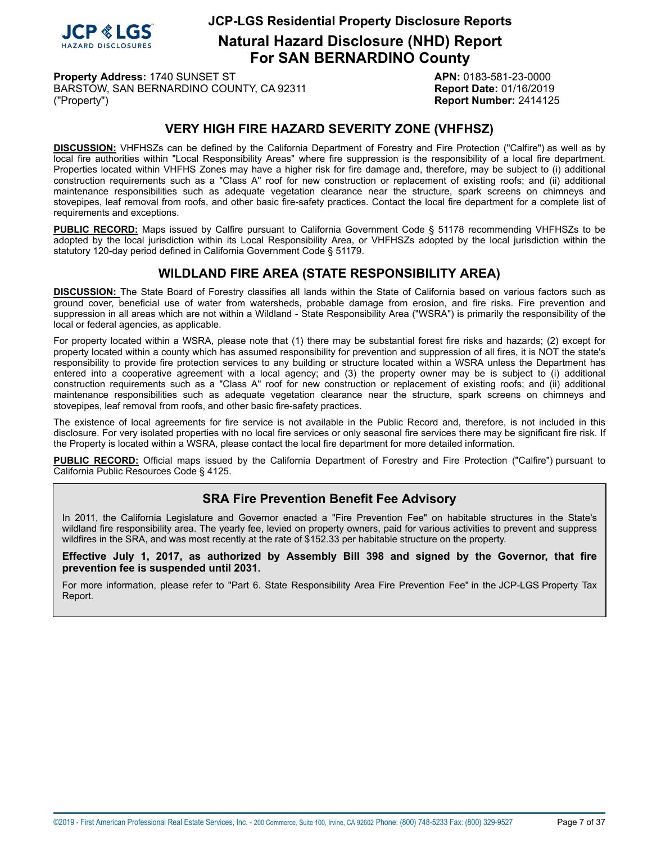

**Natural Hazard Disclosure (NHD) Report For SAN BERNARDINO County**

**Property Address:** 1740 SUNSET ST **APN:** 0183-581-23-0000 BARSTOW, SAN BERNARDINO COUNTY, CA 92311 **Report Date:** 01/16/2019 ("Property") **Report Number:** 2414125

# **VERY HIGH FIRE HAZARD SEVERITY ZONE (VHFHSZ)**

<span id="page-6-0"></span>**DISCUSSION:** VHFHSZs can be defined by the California Department of Forestry and Fire Protection ("Calfire") as well as by local fire authorities within "Local Responsibility Areas" where fire suppression is the responsibility of a local fire department. Properties located within VHFHS Zones may have a higher risk for fire damage and, therefore, may be subject to (i) additional construction requirements such as a "Class A" roof for new construction or replacement of existing roofs; and (ii) additional maintenance responsibilities such as adequate vegetation clearance near the structure, spark screens on chimneys and stovepipes, leaf removal from roofs, and other basic fire-safety practices. Contact the local fire department for a complete list of requirements and exceptions.

**PUBLIC RECORD:** Maps issued by Calfire pursuant to California Government Code § 51178 recommending VHFHSZs to be adopted by the local jurisdiction within its Local Responsibility Area, or VHFHSZs adopted by the local jurisdiction within the statutory 120-day period defined in California Government Code § 51179.

# **WILDLAND FIRE AREA (STATE RESPONSIBILITY AREA)**

<span id="page-6-1"></span>**DISCUSSION:** The State Board of Forestry classifies all lands within the State of California based on various factors such as ground cover, beneficial use of water from watersheds, probable damage from erosion, and fire risks. Fire prevention and suppression in all areas which are not within a Wildland - State Responsibility Area ("WSRA") is primarily the responsibility of the local or federal agencies, as applicable.

For property located within a WSRA, please note that (1) there may be substantial forest fire risks and hazards; (2) except for property located within a county which has assumed responsibility for prevention and suppression of all fires, it is NOT the state's responsibility to provide fire protection services to any building or structure located within a WSRA unless the Department has entered into a cooperative agreement with a local agency; and (3) the property owner may be is subject to (i) additional construction requirements such as a "Class A" roof for new construction or replacement of existing roofs; and (ii) additional maintenance responsibilities such as adequate vegetation clearance near the structure, spark screens on chimneys and stovepipes, leaf removal from roofs, and other basic fire-safety practices.

The existence of local agreements for fire service is not available in the Public Record and, therefore, is not included in this disclosure. For very isolated properties with no local fire services or only seasonal fire services there may be significant fire risk. If the Property is located within a WSRA, please contact the local fire department for more detailed information.

**PUBLIC RECORD:** Official maps issued by the California Department of Forestry and Fire Protection ("Calfire") pursuant to California Public Resources Code § 4125.

# **SRA Fire Prevention Benefit Fee Advisory**

In 2011, the California Legislature and Governor enacted a "Fire Prevention Fee" on habitable structures in the State's wildland fire responsibility area. The yearly fee, levied on property owners, paid for various activities to prevent and suppress wildfires in the SRA, and was most recently at the rate of \$152.33 per habitable structure on the property.

**Effective July 1, 2017, as authorized by Assembly Bill 398 and signed by the Governor, that fire prevention fee is suspended until 2031.**

For more information, please refer to "Part 6. State Responsibility Area Fire Prevention Fee" in the JCP-LGS Property Tax Report.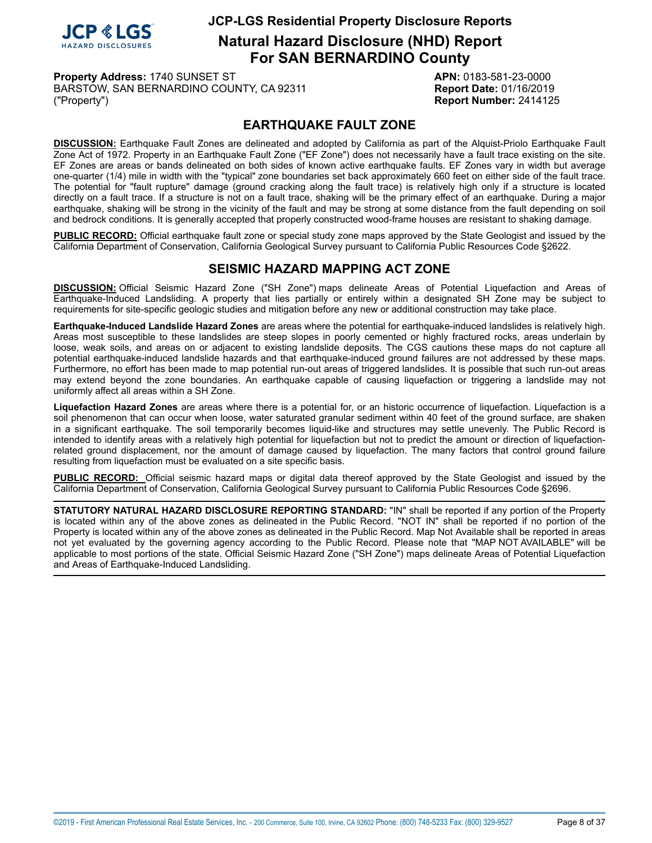

**Natural Hazard Disclosure (NHD) Report For SAN BERNARDINO County**

**Property Address:** 1740 SUNSET ST **APN:** 0183-581-23-0000 BARSTOW, SAN BERNARDINO COUNTY, CA 92311 **Report Date:** 01/16/2019 ("Property") **Report Number:** 2414125

# **EARTHQUAKE FAULT ZONE**

<span id="page-7-0"></span>**DISCUSSION:** Earthquake Fault Zones are delineated and adopted by California as part of the Alquist-Priolo Earthquake Fault Zone Act of 1972. Property in an Earthquake Fault Zone ("EF Zone") does not necessarily have a fault trace existing on the site. EF Zones are areas or bands delineated on both sides of known active earthquake faults. EF Zones vary in width but average one-quarter (1/4) mile in width with the "typical" zone boundaries set back approximately 660 feet on either side of the fault trace. The potential for "fault rupture" damage (ground cracking along the fault trace) is relatively high only if a structure is located directly on a fault trace. If a structure is not on a fault trace, shaking will be the primary effect of an earthquake. During a major earthquake, shaking will be strong in the vicinity of the fault and may be strong at some distance from the fault depending on soil and bedrock conditions. It is generally accepted that properly constructed wood-frame houses are resistant to shaking damage.

**PUBLIC RECORD:** Official earthquake fault zone or special study zone maps approved by the State Geologist and issued by the California Department of Conservation, California Geological Survey pursuant to California Public Resources Code §2622.

# **SEISMIC HAZARD MAPPING ACT ZONE**

<span id="page-7-1"></span>**DISCUSSION:** Official Seismic Hazard Zone ("SH Zone") maps delineate Areas of Potential Liquefaction and Areas of Earthquake-Induced Landsliding. A property that lies partially or entirely within a designated SH Zone may be subject to requirements for site-specific geologic studies and mitigation before any new or additional construction may take place.

**Earthquake-Induced Landslide Hazard Zones** are areas where the potential for earthquake-induced landslides is relatively high. Areas most susceptible to these landslides are steep slopes in poorly cemented or highly fractured rocks, areas underlain by loose, weak soils, and areas on or adjacent to existing landslide deposits. The CGS cautions these maps do not capture all potential earthquake-induced landslide hazards and that earthquake-induced ground failures are not addressed by these maps. Furthermore, no effort has been made to map potential run-out areas of triggered landslides. It is possible that such run-out areas may extend beyond the zone boundaries. An earthquake capable of causing liquefaction or triggering a landslide may not uniformly affect all areas within a SH Zone.

**Liquefaction Hazard Zones** are areas where there is a potential for, or an historic occurrence of liquefaction. Liquefaction is a soil phenomenon that can occur when loose, water saturated granular sediment within 40 feet of the ground surface, are shaken in a significant earthquake. The soil temporarily becomes liquid-like and structures may settle unevenly. The Public Record is intended to identify areas with a relatively high potential for liquefaction but not to predict the amount or direction of liquefactionrelated ground displacement, nor the amount of damage caused by liquefaction. The many factors that control ground failure resulting from liquefaction must be evaluated on a site specific basis.

**PUBLIC RECORD:** Official seismic hazard maps or digital data thereof approved by the State Geologist and issued by the California Department of Conservation, California Geological Survey pursuant to California Public Resources Code §2696.

**STATUTORY NATURAL HAZARD DISCLOSURE REPORTING STANDARD:** "IN" shall be reported if any portion of the Property is located within any of the above zones as delineated in the Public Record. "NOT IN" shall be reported if no portion of the Property is located within any of the above zones as delineated in the Public Record. Map Not Available shall be reported in areas not yet evaluated by the governing agency according to the Public Record. Please note that "MAP NOT AVAILABLE" will be applicable to most portions of the state. Official Seismic Hazard Zone ("SH Zone") maps delineate Areas of Potential Liquefaction and Areas of Earthquake-Induced Landsliding.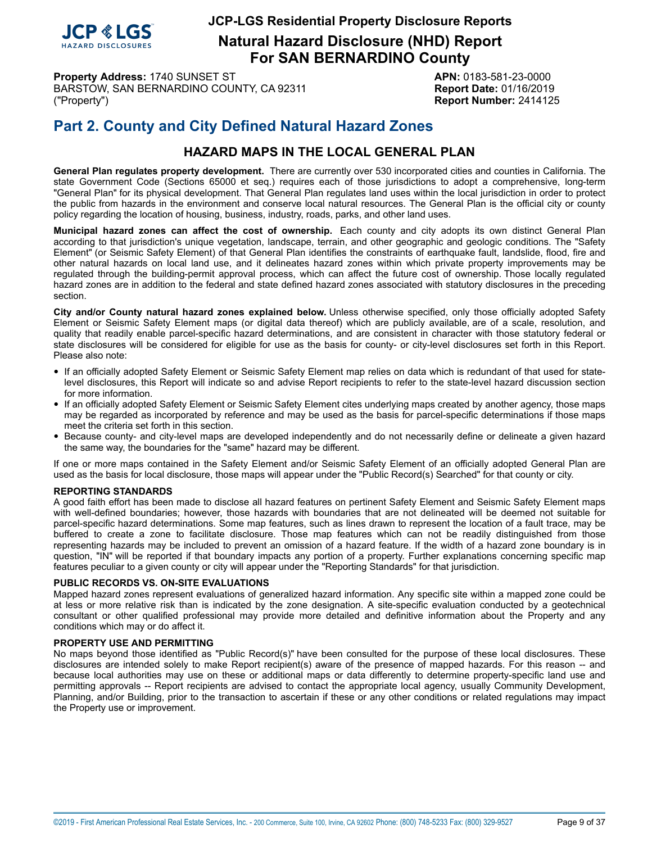

**Natural Hazard Disclosure (NHD) Report For SAN BERNARDINO County**

**Property Address:** 1740 SUNSET ST **APN:** 0183-581-23-0000 BARSTOW, SAN BERNARDINO COUNTY, CA 92311 **Report Date:** 01/16/2019 ("Property") **Report Number:** 2414125

# **Part 2. County and City Defined Natural Hazard Zones**

# **HAZARD MAPS IN THE LOCAL GENERAL PLAN**

**General Plan regulates property development.** There are currently over 530 incorporated cities and counties in California. The state Government Code (Sections 65000 et seq.) requires each of those jurisdictions to adopt a comprehensive, long-term "General Plan" for its physical development. That General Plan regulates land uses within the local jurisdiction in order to protect the public from hazards in the environment and conserve local natural resources. The General Plan is the official city or county policy regarding the location of housing, business, industry, roads, parks, and other land uses.

**Municipal hazard zones can affect the cost of ownership.** Each county and city adopts its own distinct General Plan according to that jurisdiction's unique vegetation, landscape, terrain, and other geographic and geologic conditions. The "Safety Element" (or Seismic Safety Element) of that General Plan identifies the constraints of earthquake fault, landslide, flood, fire and other natural hazards on local land use, and it delineates hazard zones within which private property improvements may be regulated through the building-permit approval process, which can affect the future cost of ownership. Those locally regulated hazard zones are in addition to the federal and state defined hazard zones associated with statutory disclosures in the preceding section.

**City and/or County natural hazard zones explained below.** Unless otherwise specified, only those officially adopted Safety Element or Seismic Safety Element maps (or digital data thereof) which are publicly available, are of a scale, resolution, and quality that readily enable parcel-specific hazard determinations, and are consistent in character with those statutory federal or state disclosures will be considered for eligible for use as the basis for county- or city-level disclosures set forth in this Report. Please also note:

- If an officially adopted Safety Element or Seismic Safety Element map relies on data which is redundant of that used for statelevel disclosures, this Report will indicate so and advise Report recipients to refer to the state-level hazard discussion section for more information.
- If an officially adopted Safety Element or Seismic Safety Element cites underlying maps created by another agency, those maps may be regarded as incorporated by reference and may be used as the basis for parcel-specific determinations if those maps meet the criteria set forth in this section.
- Because county- and city-level maps are developed independently and do not necessarily define or delineate <sup>a</sup> given hazard the same way, the boundaries for the "same" hazard may be different.

If one or more maps contained in the Safety Element and/or Seismic Safety Element of an officially adopted General Plan are used as the basis for local disclosure, those maps will appear under the "Public Record(s) Searched" for that county or city.

#### **REPORTING STANDARDS**

A good faith effort has been made to disclose all hazard features on pertinent Safety Element and Seismic Safety Element maps with well-defined boundaries; however, those hazards with boundaries that are not delineated will be deemed not suitable for parcel-specific hazard determinations. Some map features, such as lines drawn to represent the location of a fault trace, may be buffered to create a zone to facilitate disclosure. Those map features which can not be readily distinguished from those representing hazards may be included to prevent an omission of a hazard feature. If the width of a hazard zone boundary is in question, "IN" will be reported if that boundary impacts any portion of a property. Further explanations concerning specific map features peculiar to a given county or city will appear under the "Reporting Standards" for that jurisdiction.

#### **PUBLIC RECORDS VS. ON-SITE EVALUATIONS**

Mapped hazard zones represent evaluations of generalized hazard information. Any specific site within a mapped zone could be at less or more relative risk than is indicated by the zone designation. A site-specific evaluation conducted by a geotechnical consultant or other qualified professional may provide more detailed and definitive information about the Property and any conditions which may or do affect it.

#### **PROPERTY USE AND PERMITTING**

No maps beyond those identified as "Public Record(s)" have been consulted for the purpose of these local disclosures. These disclosures are intended solely to make Report recipient(s) aware of the presence of mapped hazards. For this reason -- and because local authorities may use on these or additional maps or data differently to determine property-specific land use and permitting approvals -- Report recipients are advised to contact the appropriate local agency, usually Community Development, Planning, and/or Building, prior to the transaction to ascertain if these or any other conditions or related regulations may impact the Property use or improvement.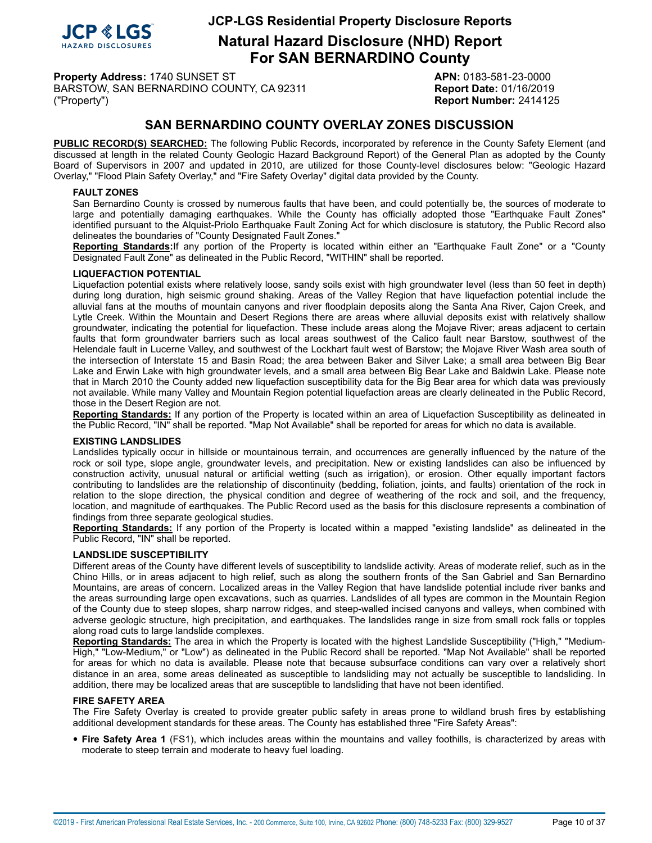

**Natural Hazard Disclosure (NHD) Report For SAN BERNARDINO County**

**Property Address:** 1740 SUNSET ST **APN:** 0183-581-23-0000 BARSTOW, SAN BERNARDINO COUNTY, CA 92311 **Report Date:** 01/16/2019 ("Property") **Report Number:** 2414125

# **SAN BERNARDINO COUNTY OVERLAY ZONES DISCUSSION**

**PUBLIC RECORD(S) SEARCHED:** The following Public Records, incorporated by reference in the County Safety Element (and discussed at length in the related County Geologic Hazard Background Report) of the General Plan as adopted by the County Board of Supervisors in 2007 and updated in 2010, are utilized for those County-level disclosures below: "Geologic Hazard Overlay," "Flood Plain Safety Overlay," and "Fire Safety Overlay" digital data provided by the County.

#### <span id="page-9-1"></span>**FAULT ZONES**

San Bernardino County is crossed by numerous faults that have been, and could potentially be, the sources of moderate to large and potentially damaging earthquakes. While the County has officially adopted those "Earthquake Fault Zones" identified pursuant to the Alquist-Priolo Earthquake Fault Zoning Act for which disclosure is statutory, the Public Record also delineates the boundaries of "County Designated Fault Zones."

**Reporting Standards:**If any portion of the Property is located within either an "Earthquake Fault Zone" or a "County Designated Fault Zone" as delineated in the Public Record, "WITHIN" shall be reported.

#### <span id="page-9-0"></span>**LIQUEFACTION POTENTIAL**

Liquefaction potential exists where relatively loose, sandy soils exist with high groundwater level (less than 50 feet in depth) during long duration, high seismic ground shaking. Areas of the Valley Region that have liquefaction potential include the alluvial fans at the mouths of mountain canyons and river floodplain deposits along the Santa Ana River, Cajon Creek, and Lytle Creek. Within the Mountain and Desert Regions there are areas where alluvial deposits exist with relatively shallow groundwater, indicating the potential for liquefaction. These include areas along the Mojave River; areas adjacent to certain faults that form groundwater barriers such as local areas southwest of the Calico fault near Barstow, southwest of the Helendale fault in Lucerne Valley, and southwest of the Lockhart fault west of Barstow; the Mojave River Wash area south of the intersection of Interstate 15 and Basin Road; the area between Baker and Silver Lake; a small area between Big Bear Lake and Erwin Lake with high groundwater levels, and a small area between Big Bear Lake and Baldwin Lake. Please note that in March 2010 the County added new liquefaction susceptibility data for the Big Bear area for which data was previously not available. While many Valley and Mountain Region potential liquefaction areas are clearly delineated in the Public Record, those in the Desert Region are not.

**Reporting Standards:** If any portion of the Property is located within an area of Liquefaction Susceptibility as delineated in the Public Record, "IN" shall be reported. "Map Not Available" shall be reported for areas for which no data is available.

#### <span id="page-9-2"></span>**EXISTING LANDSLIDES**

Landslides typically occur in hillside or mountainous terrain, and occurrences are generally influenced by the nature of the rock or soil type, slope angle, groundwater levels, and precipitation. New or existing landslides can also be influenced by construction activity, unusual natural or artificial wetting (such as irrigation), or erosion. Other equally important factors contributing to landslides are the relationship of discontinuity (bedding, foliation, joints, and faults) orientation of the rock in relation to the slope direction, the physical condition and degree of weathering of the rock and soil, and the frequency, location, and magnitude of earthquakes. The Public Record used as the basis for this disclosure represents a combination of findings from three separate geological studies.

**Reporting Standards:** If any portion of the Property is located within a mapped "existing landslide" as delineated in the Public Record, "IN" shall be reported.

#### <span id="page-9-4"></span>**LANDSLIDE SUSCEPTIBILITY**

Different areas of the County have different levels of susceptibility to landslide activity. Areas of moderate relief, such as in the Chino Hills, or in areas adjacent to high relief, such as along the southern fronts of the San Gabriel and San Bernardino Mountains, are areas of concern. Localized areas in the Valley Region that have landslide potential include river banks and the areas surrounding large open excavations, such as quarries. Landslides of all types are common in the Mountain Region of the County due to steep slopes, sharp narrow ridges, and steep-walled incised canyons and valleys, when combined with adverse geologic structure, high precipitation, and earthquakes. The landslides range in size from small rock falls or topples along road cuts to large landslide complexes.

**Reporting Standards:** The area in which the Property is located with the highest Landslide Susceptibility ("High," "Medium-High," "Low-Medium," or "Low") as delineated in the Public Record shall be reported. "Map Not Available" shall be reported for areas for which no data is available. Please note that because subsurface conditions can vary over a relatively short distance in an area, some areas delineated as susceptible to landsliding may not actually be susceptible to landsliding. In addition, there may be localized areas that are susceptible to landsliding that have not been identified.

#### <span id="page-9-3"></span>**FIRE SAFETY AREA**

The Fire Safety Overlay is created to provide greater public safety in areas prone to wildland brush fires by establishing additional development standards for these areas. The County has established three "Fire Safety Areas":

• **Fire Safety Area <sup>1</sup>** (FS1), which includes areas within the mountains and valley foothills, is characterized by areas with moderate to steep terrain and moderate to heavy fuel loading.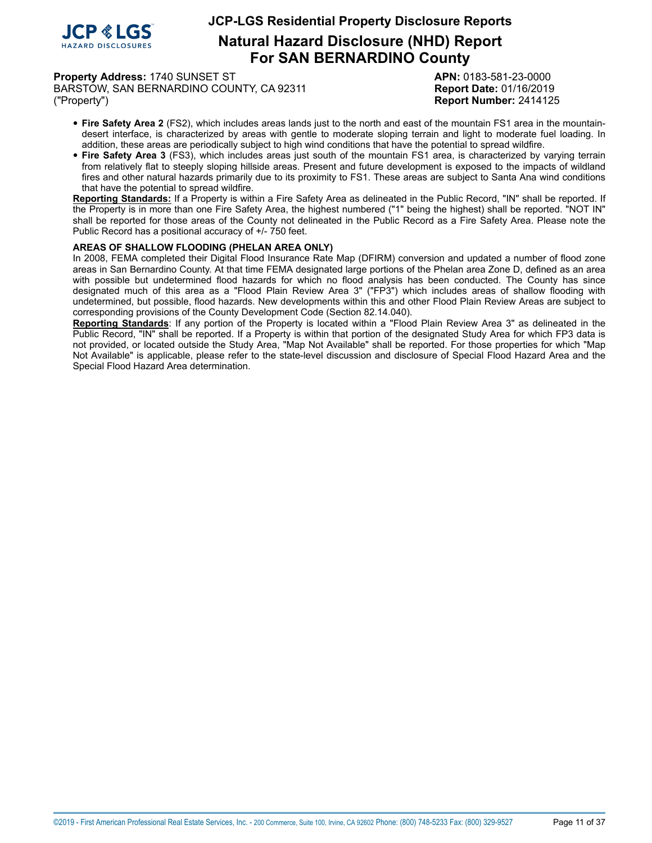

**Natural Hazard Disclosure (NHD) Report For SAN BERNARDINO County**

**Property Address:** 1740 SUNSET ST **APN:** 0183-581-23-0000 BARSTOW, SAN BERNARDINO COUNTY, CA 92311 **Report Date:** 01/16/2019 ("Property") **Report Number:** 2414125

- **Fire Safety Area <sup>2</sup>** (FS2), which includes areas lands just to the north and east of the mountain FS1 area in the mountaindesert interface, is characterized by areas with gentle to moderate sloping terrain and light to moderate fuel loading. In addition, these areas are periodically subject to high wind conditions that have the potential to spread wildfire.
- **Fire Safety Area <sup>3</sup>** (FS3), which includes areas just south of the mountain FS1 area, is characterized by varying terrain from relatively flat to steeply sloping hillside areas. Present and future development is exposed to the impacts of wildland fires and other natural hazards primarily due to its proximity to FS1. These areas are subject to Santa Ana wind conditions that have the potential to spread wildfire.

**Reporting Standards:** If a Property is within a Fire Safety Area as delineated in the Public Record, "IN" shall be reported. If the Property is in more than one Fire Safety Area, the highest numbered ("1" being the highest) shall be reported. "NOT IN" shall be reported for those areas of the County not delineated in the Public Record as a Fire Safety Area. Please note the Public Record has a positional accuracy of +/- 750 feet.

#### <span id="page-10-0"></span>**AREAS OF SHALLOW FLOODING (PHELAN AREA ONLY)**

In 2008, FEMA completed their Digital Flood Insurance Rate Map (DFIRM) conversion and updated a number of flood zone areas in San Bernardino County. At that time FEMA designated large portions of the Phelan area Zone D, defined as an area with possible but undetermined flood hazards for which no flood analysis has been conducted. The County has since designated much of this area as a "Flood Plain Review Area 3" ("FP3") which includes areas of shallow flooding with undetermined, but possible, flood hazards. New developments within this and other Flood Plain Review Areas are subject to corresponding provisions of the County Development Code (Section 82.14.040).

**Reporting Standards**: If any portion of the Property is located within a "Flood Plain Review Area 3" as delineated in the Public Record, "IN" shall be reported. If a Property is within that portion of the designated Study Area for which FP3 data is not provided, or located outside the Study Area, "Map Not Available" shall be reported. For those properties for which "Map Not Available" is applicable, please refer to the state-level discussion and disclosure of Special Flood Hazard Area and the Special Flood Hazard Area determination.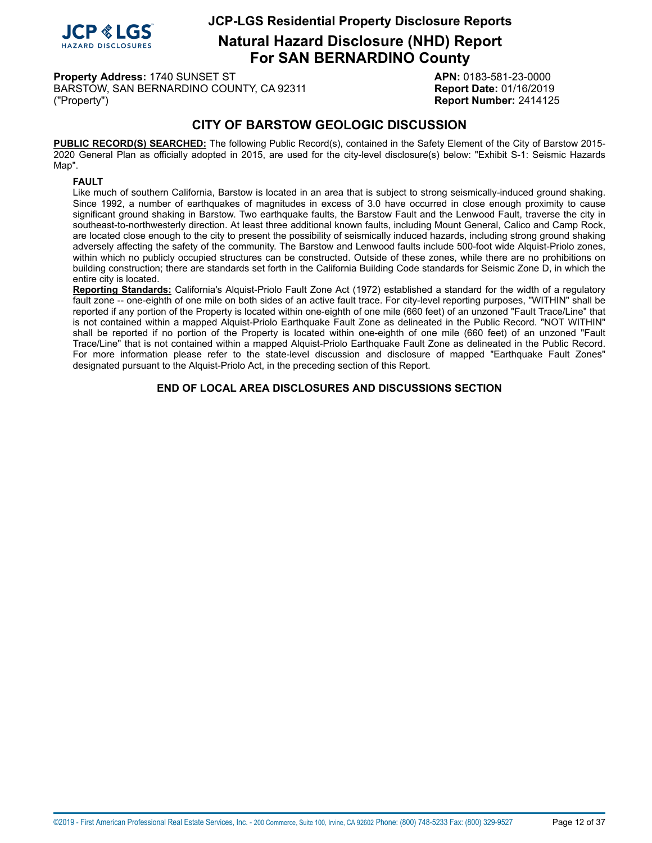

**Natural Hazard Disclosure (NHD) Report For SAN BERNARDINO County**

**Property Address:** 1740 SUNSET ST **APN:** 0183-581-23-0000 BARSTOW, SAN BERNARDINO COUNTY, CA 92311 **Report Date:** 01/16/2019 ("Property") **Report Number:** 2414125

# **CITY OF BARSTOW GEOLOGIC DISCUSSION**

**PUBLIC RECORD(S) SEARCHED:** The following Public Record(s), contained in the Safety Element of the City of Barstow 2015- 2020 General Plan as officially adopted in 2015, are used for the city-level disclosure(s) below: "Exhibit S-1: Seismic Hazards Map".

#### <span id="page-11-0"></span>**FAULT**

Like much of southern California, Barstow is located in an area that is subject to strong seismically-induced ground shaking. Since 1992, a number of earthquakes of magnitudes in excess of 3.0 have occurred in close enough proximity to cause significant ground shaking in Barstow. Two earthquake faults, the Barstow Fault and the Lenwood Fault, traverse the city in southeast-to-northwesterly direction. At least three additional known faults, including Mount General, Calico and Camp Rock, are located close enough to the city to present the possibility of seismically induced hazards, including strong ground shaking adversely affecting the safety of the community. The Barstow and Lenwood faults include 500-foot wide Alquist-Priolo zones, within which no publicly occupied structures can be constructed. Outside of these zones, while there are no prohibitions on building construction; there are standards set forth in the California Building Code standards for Seismic Zone D, in which the entire city is located.

**Reporting Standards:** California's Alquist-Priolo Fault Zone Act (1972) established a standard for the width of a regulatory fault zone -- one-eighth of one mile on both sides of an active fault trace. For city-level reporting purposes, "WITHIN" shall be reported if any portion of the Property is located within one-eighth of one mile (660 feet) of an unzoned "Fault Trace/Line" that is not contained within a mapped Alquist-Priolo Earthquake Fault Zone as delineated in the Public Record. "NOT WITHIN" shall be reported if no portion of the Property is located within one-eighth of one mile (660 feet) of an unzoned "Fault Trace/Line" that is not contained within a mapped Alquist-Priolo Earthquake Fault Zone as delineated in the Public Record. For more information please refer to the state-level discussion and disclosure of mapped "Earthquake Fault Zones" designated pursuant to the Alquist-Priolo Act, in the preceding section of this Report.

### **END OF LOCAL AREA DISCLOSURES AND DISCUSSIONS SECTION**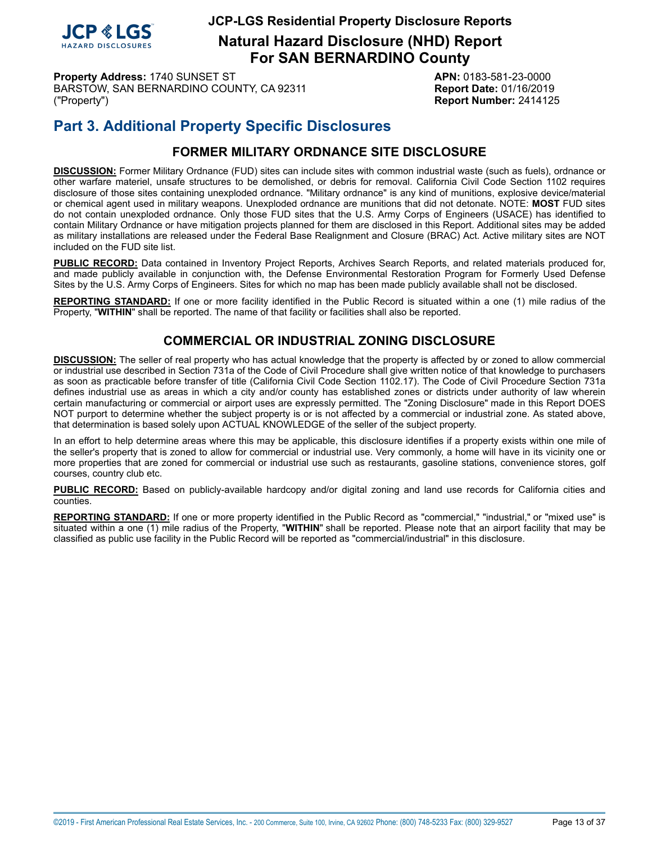

**Natural Hazard Disclosure (NHD) Report For SAN BERNARDINO County**

**Property Address:** 1740 SUNSET ST **APN:** 0183-581-23-0000 BARSTOW, SAN BERNARDINO COUNTY, CA 92311 **Report Date:** 01/16/2019 ("Property") **Report Number:** 2414125

# **Part 3. Additional Property Specific Disclosures**

# **FORMER MILITARY ORDNANCE SITE DISCLOSURE**

<span id="page-12-0"></span>**DISCUSSION:** Former Military Ordnance (FUD) sites can include sites with common industrial waste (such as fuels), ordnance or other warfare materiel, unsafe structures to be demolished, or debris for removal. California Civil Code Section 1102 requires disclosure of those sites containing unexploded ordnance. "Military ordnance" is any kind of munitions, explosive device/material or chemical agent used in military weapons. Unexploded ordnance are munitions that did not detonate. NOTE: **MOST** FUD sites do not contain unexploded ordnance. Only those FUD sites that the U.S. Army Corps of Engineers (USACE) has identified to contain Military Ordnance or have mitigation projects planned for them are disclosed in this Report. Additional sites may be added as military installations are released under the Federal Base Realignment and Closure (BRAC) Act. Active military sites are NOT included on the FUD site list.

**PUBLIC RECORD:** Data contained in Inventory Project Reports, Archives Search Reports, and related materials produced for, and made publicly available in conjunction with, the Defense Environmental Restoration Program for Formerly Used Defense Sites by the U.S. Army Corps of Engineers. Sites for which no map has been made publicly available shall not be disclosed.

<span id="page-12-1"></span>**REPORTING STANDARD:** If one or more facility identified in the Public Record is situated within a one (1) mile radius of the Property, "**WITHIN**" shall be reported. The name of that facility or facilities shall also be reported.

# **COMMERCIAL OR INDUSTRIAL ZONING DISCLOSURE**

**DISCUSSION:** The seller of real property who has actual knowledge that the property is affected by or zoned to allow commercial or industrial use described in Section 731a of the Code of Civil Procedure shall give written notice of that knowledge to purchasers as soon as practicable before transfer of title (California Civil Code Section 1102.17). The Code of Civil Procedure Section 731a defines industrial use as areas in which a city and/or county has established zones or districts under authority of law wherein certain manufacturing or commercial or airport uses are expressly permitted. The "Zoning Disclosure" made in this Report DOES NOT purport to determine whether the subject property is or is not affected by a commercial or industrial zone. As stated above, that determination is based solely upon ACTUAL KNOWLEDGE of the seller of the subject property.

In an effort to help determine areas where this may be applicable, this disclosure identifies if a property exists within one mile of the seller's property that is zoned to allow for commercial or industrial use. Very commonly, a home will have in its vicinity one or more properties that are zoned for commercial or industrial use such as restaurants, gasoline stations, convenience stores, golf courses, country club etc.

**PUBLIC RECORD:** Based on publicly-available hardcopy and/or digital zoning and land use records for California cities and counties.

**REPORTING STANDARD:** If one or more property identified in the Public Record as "commercial," "industrial," or "mixed use" is situated within a one (1) mile radius of the Property, "**WITHIN**" shall be reported. Please note that an airport facility that may be classified as public use facility in the Public Record will be reported as "commercial/industrial" in this disclosure.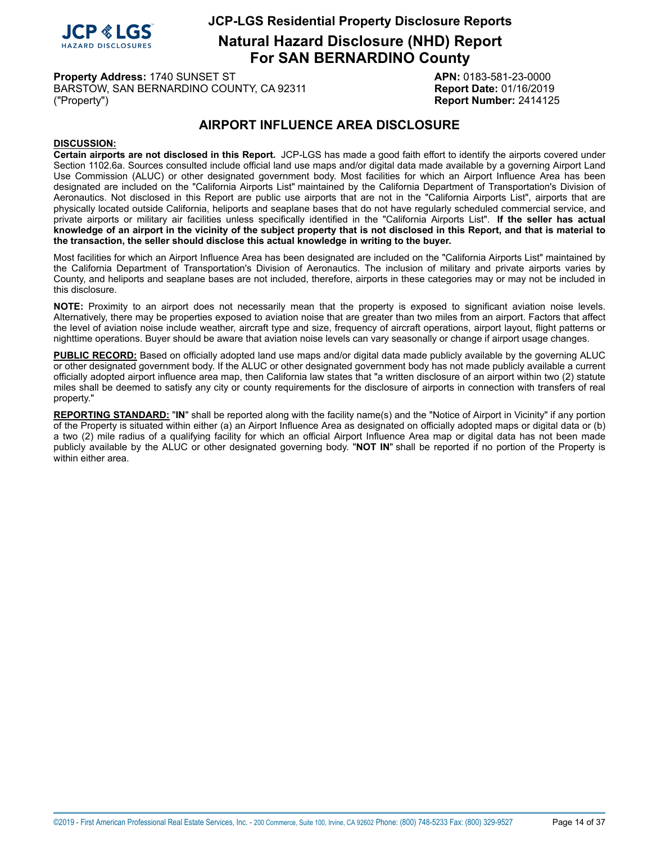

**Natural Hazard Disclosure (NHD) Report For SAN BERNARDINO County**

**Property Address:** 1740 SUNSET ST **APN:** 0183-581-23-0000 BARSTOW, SAN BERNARDINO COUNTY, CA 92311 **Report Date:** 01/16/2019 ("Property") **Report Number:** 2414125

# **AIRPORT INFLUENCE AREA DISCLOSURE**

### <span id="page-13-0"></span>**DISCUSSION:**

**Certain airports are not disclosed in this Report.** JCP-LGS has made a good faith effort to identify the airports covered under Section 1102.6a. Sources consulted include official land use maps and/or digital data made available by a governing Airport Land Use Commission (ALUC) or other designated government body. Most facilities for which an Airport Influence Area has been designated are included on the "California Airports List" maintained by the California Department of Transportation's Division of Aeronautics. Not disclosed in this Report are public use airports that are not in the "California Airports List", airports that are physically located outside California, heliports and seaplane bases that do not have regularly scheduled commercial service, and private airports or military air facilities unless specifically identified in the "California Airports List". **If the seller has actual** knowledge of an airport in the vicinity of the subject property that is not disclosed in this Report, and that is material to **the transaction, the seller should disclose this actual knowledge in writing to the buyer.**

Most facilities for which an Airport Influence Area has been designated are included on the "California Airports List" maintained by the California Department of Transportation's Division of Aeronautics. The inclusion of military and private airports varies by County, and heliports and seaplane bases are not included, therefore, airports in these categories may or may not be included in this disclosure.

**NOTE:** Proximity to an airport does not necessarily mean that the property is exposed to significant aviation noise levels. Alternatively, there may be properties exposed to aviation noise that are greater than two miles from an airport. Factors that affect the level of aviation noise include weather, aircraft type and size, frequency of aircraft operations, airport layout, flight patterns or nighttime operations. Buyer should be aware that aviation noise levels can vary seasonally or change if airport usage changes.

**PUBLIC RECORD:** Based on officially adopted land use maps and/or digital data made publicly available by the governing ALUC or other designated government body. If the ALUC or other designated government body has not made publicly available a current officially adopted airport influence area map, then California law states that "a written disclosure of an airport within two (2) statute miles shall be deemed to satisfy any city or county requirements for the disclosure of airports in connection with transfers of real property."

**REPORTING STANDARD:** "**IN**" shall be reported along with the facility name(s) and the "Notice of Airport in Vicinity" if any portion of the Property is situated within either (a) an Airport Influence Area as designated on officially adopted maps or digital data or (b) a two (2) mile radius of a qualifying facility for which an official Airport Influence Area map or digital data has not been made publicly available by the ALUC or other designated governing body. "**NOT IN**" shall be reported if no portion of the Property is within either area.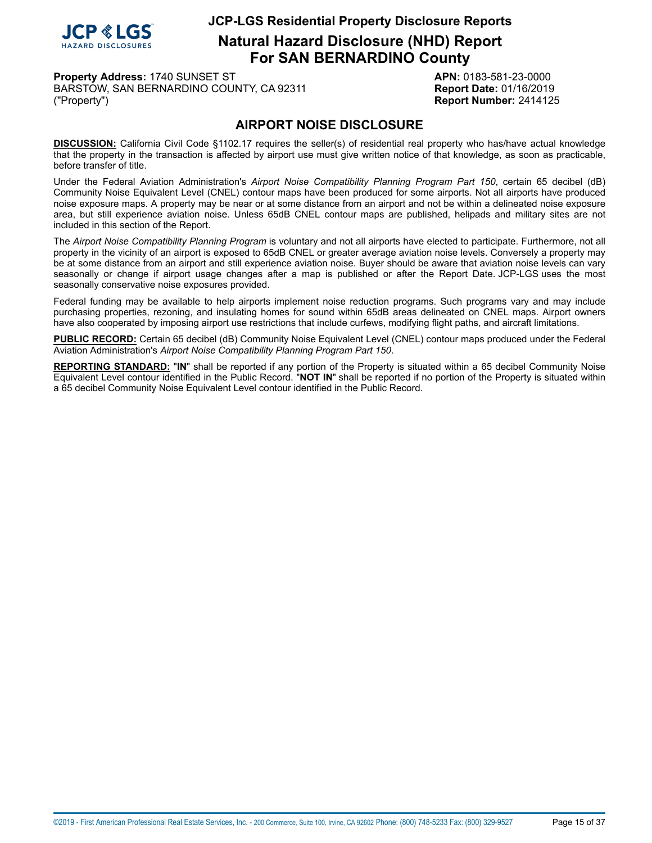

**Natural Hazard Disclosure (NHD) Report For SAN BERNARDINO County**

**Property Address:** 1740 SUNSET ST **APN:** 0183-581-23-0000 BARSTOW, SAN BERNARDINO COUNTY, CA 92311 **Report Date:** 01/16/2019 ("Property") **Report Number:** 2414125

# **AIRPORT NOISE DISCLOSURE**

<span id="page-14-0"></span>**DISCUSSION:** California Civil Code §1102.17 requires the seller(s) of residential real property who has/have actual knowledge that the property in the transaction is affected by airport use must give written notice of that knowledge, as soon as practicable, before transfer of title.

Under the Federal Aviation Administration's *Airport Noise Compatibility Planning Program Part 150*, certain 65 decibel (dB) Community Noise Equivalent Level (CNEL) contour maps have been produced for some airports. Not all airports have produced noise exposure maps. A property may be near or at some distance from an airport and not be within a delineated noise exposure area, but still experience aviation noise. Unless 65dB CNEL contour maps are published, helipads and military sites are not included in this section of the Report.

The *Airport Noise Compatibility Planning Program* is voluntary and not all airports have elected to participate. Furthermore, not all property in the vicinity of an airport is exposed to 65dB CNEL or greater average aviation noise levels. Conversely a property may be at some distance from an airport and still experience aviation noise. Buyer should be aware that aviation noise levels can vary seasonally or change if airport usage changes after a map is published or after the Report Date. JCP-LGS uses the most seasonally conservative noise exposures provided.

Federal funding may be available to help airports implement noise reduction programs. Such programs vary and may include purchasing properties, rezoning, and insulating homes for sound within 65dB areas delineated on CNEL maps. Airport owners have also cooperated by imposing airport use restrictions that include curfews, modifying flight paths, and aircraft limitations.

**PUBLIC RECORD:** Certain 65 decibel (dB) Community Noise Equivalent Level (CNEL) contour maps produced under the Federal Aviation Administration's *Airport Noise Compatibility Planning Program Part 150*.

**REPORTING STANDARD:** "**IN**" shall be reported if any portion of the Property is situated within a 65 decibel Community Noise Equivalent Level contour identified in the Public Record. "**NOT IN**" shall be reported if no portion of the Property is situated within a 65 decibel Community Noise Equivalent Level contour identified in the Public Record.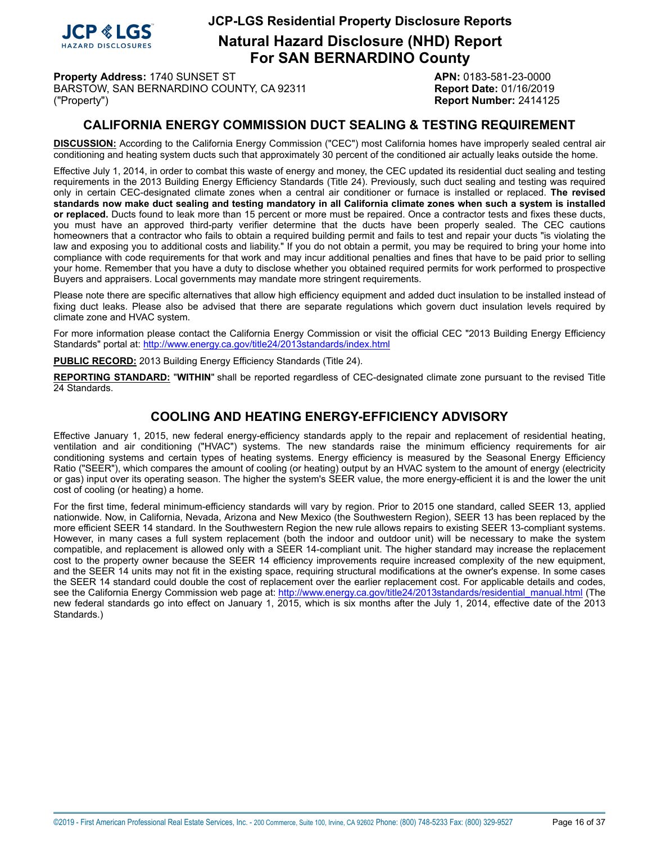

**Natural Hazard Disclosure (NHD) Report For SAN BERNARDINO County**

**Property Address:** 1740 SUNSET ST **APN:** 0183-581-23-0000 BARSTOW, SAN BERNARDINO COUNTY, CA 92311 Report Date: 01/16/2019 ("Property") **Report Number:** 2414125

# **CALIFORNIA ENERGY COMMISSION DUCT SEALING & TESTING REQUIREMENT**

<span id="page-15-0"></span>**DISCUSSION:** According to the California Energy Commission ("CEC") most California homes have improperly sealed central air conditioning and heating system ducts such that approximately 30 percent of the conditioned air actually leaks outside the home.

Effective July 1, 2014, in order to combat this waste of energy and money, the CEC updated its residential duct sealing and testing requirements in the 2013 Building Energy Efficiency Standards (Title 24). Previously, such duct sealing and testing was required only in certain CEC-designated climate zones when a central air conditioner or furnace is installed or replaced. **The revised** standards now make duct sealing and testing mandatory in all California climate zones when such a system is installed **or replaced.** Ducts found to leak more than 15 percent or more must be repaired. Once a contractor tests and fixes these ducts, you must have an approved third-party verifier determine that the ducts have been properly sealed. The CEC cautions homeowners that a contractor who fails to obtain a required building permit and fails to test and repair your ducts "is violating the law and exposing you to additional costs and liability." If you do not obtain a permit, you may be required to bring your home into compliance with code requirements for that work and may incur additional penalties and fines that have to be paid prior to selling your home. Remember that you have a duty to disclose whether you obtained required permits for work performed to prospective Buyers and appraisers. Local governments may mandate more stringent requirements.

Please note there are specific alternatives that allow high efficiency equipment and added duct insulation to be installed instead of fixing duct leaks. Please also be advised that there are separate regulations which govern duct insulation levels required by climate zone and HVAC system.

For more information please contact the California Energy Commission or visit the official CEC "2013 Building Energy Efficiency Standards" portal at: <http://www.energy.ca.gov/title24/2013standards/index.html>

**PUBLIC RECORD:** 2013 Building Energy Efficiency Standards (Title 24).

**REPORTING STANDARD:** "**WITHIN**" shall be reported regardless of CEC-designated climate zone pursuant to the revised Title 24 Standards.

# **COOLING AND HEATING ENERGY-EFFICIENCY ADVISORY**

Effective January 1, 2015, new federal energy-efficiency standards apply to the repair and replacement of residential heating, ventilation and air conditioning ("HVAC") systems. The new standards raise the minimum efficiency requirements for air conditioning systems and certain types of heating systems. Energy efficiency is measured by the Seasonal Energy Efficiency Ratio ("SEER"), which compares the amount of cooling (or heating) output by an HVAC system to the amount of energy (electricity or gas) input over its operating season. The higher the system's SEER value, the more energy-efficient it is and the lower the unit cost of cooling (or heating) a home.

For the first time, federal minimum-efficiency standards will vary by region. Prior to 2015 one standard, called SEER 13, applied nationwide. Now, in California, Nevada, Arizona and New Mexico (the Southwestern Region), SEER 13 has been replaced by the more efficient SEER 14 standard. In the Southwestern Region the new rule allows repairs to existing SEER 13-compliant systems. However, in many cases a full system replacement (both the indoor and outdoor unit) will be necessary to make the system compatible, and replacement is allowed only with a SEER 14-compliant unit. The higher standard may increase the replacement cost to the property owner because the SEER 14 efficiency improvements require increased complexity of the new equipment, and the SEER 14 units may not fit in the existing space, requiring structural modifications at the owner's expense. In some cases the SEER 14 standard could double the cost of replacement over the earlier replacement cost. For applicable details and codes, see the California Energy Commission web page at: [http://www.energy.ca.gov/title24/2013standards/residential\\_manual.html](http://www.energy.ca.gov/title24/2013standards/residential_manual.html) (The new federal standards go into effect on January 1, 2015, which is six months after the July 1, 2014, effective date of the 2013 Standards.)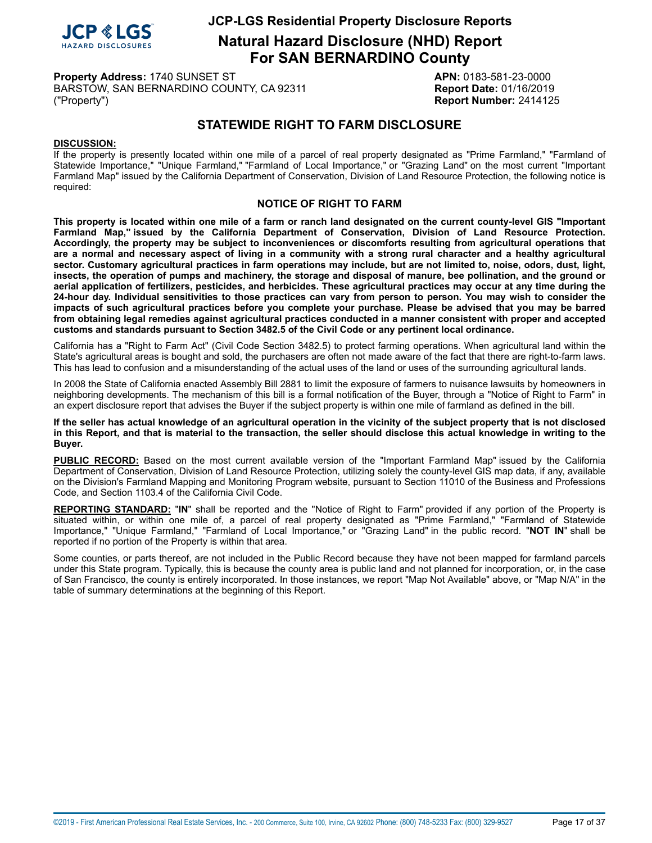

**Natural Hazard Disclosure (NHD) Report For SAN BERNARDINO County**

**Property Address:** 1740 SUNSET ST **APN:** 0183-581-23-0000 BARSTOW, SAN BERNARDINO COUNTY, CA 92311 **Report Date:** 01/16/2019 ("Property") **Report Number:** 2414125

# **STATEWIDE RIGHT TO FARM DISCLOSURE**

#### <span id="page-16-0"></span>**DISCUSSION:**

If the property is presently located within one mile of a parcel of real property designated as "Prime Farmland," "Farmland of Statewide Importance," "Unique Farmland," "Farmland of Local Importance," or "Grazing Land" on the most current "Important Farmland Map" issued by the California Department of Conservation, Division of Land Resource Protection, the following notice is required:

#### **NOTICE OF RIGHT TO FARM**

This property is located within one mile of a farm or ranch land designated on the current county-level GIS "Important **Farmland Map," issued by the California Department of Conservation, Division of Land Resource Protection. Accordingly, the property may be subject to inconveniences or discomforts resulting from agricultural operations that** are a normal and necessary aspect of living in a community with a strong rural character and a healthy agricultural sector. Customary agricultural practices in farm operations may include, but are not limited to, noise, odors, dust, light, insects, the operation of pumps and machinery, the storage and disposal of manure, bee pollination, and the ground or aerial application of fertilizers, pesticides, and herbicides. These agricultural practices may occur at any time during the 24-hour day. Individual sensitivities to those practices can vary from person to person. You may wish to consider the impacts of such agricultural practices before you complete your purchase. Please be advised that you may be barred from obtaining legal remedies against agricultural practices conducted in a manner consistent with proper and accepted **customs and standards pursuant to Section 3482.5 of the Civil Code or any pertinent local ordinance.**

California has a "Right to Farm Act" (Civil Code Section 3482.5) to protect farming operations. When agricultural land within the State's agricultural areas is bought and sold, the purchasers are often not made aware of the fact that there are right-to-farm laws. This has lead to confusion and a misunderstanding of the actual uses of the land or uses of the surrounding agricultural lands.

In 2008 the State of California enacted Assembly Bill 2881 to limit the exposure of farmers to nuisance lawsuits by homeowners in neighboring developments. The mechanism of this bill is a formal notification of the Buyer, through a "Notice of Right to Farm" in an expert disclosure report that advises the Buyer if the subject property is within one mile of farmland as defined in the bill.

#### If the seller has actual knowledge of an agricultural operation in the vicinity of the subject property that is not disclosed in this Report, and that is material to the transaction, the seller should disclose this actual knowledge in writing to the **Buyer.**

**PUBLIC RECORD:** Based on the most current available version of the "Important Farmland Map" issued by the California Department of Conservation, Division of Land Resource Protection, utilizing solely the county-level GIS map data, if any, available on the Division's Farmland Mapping and Monitoring Program website, pursuant to Section 11010 of the Business and Professions Code, and Section 1103.4 of the California Civil Code.

**REPORTING STANDARD:** "**IN**" shall be reported and the "Notice of Right to Farm" provided if any portion of the Property is situated within, or within one mile of, a parcel of real property designated as "Prime Farmland," "Farmland of Statewide Importance," "Unique Farmland," "Farmland of Local Importance," or "Grazing Land" in the public record. "**NOT IN**" shall be reported if no portion of the Property is within that area.

Some counties, or parts thereof, are not included in the Public Record because they have not been mapped for farmland parcels under this State program. Typically, this is because the county area is public land and not planned for incorporation, or, in the case of San Francisco, the county is entirely incorporated. In those instances, we report "Map Not Available" above, or "Map N/A" in the table of summary determinations at the beginning of this Report.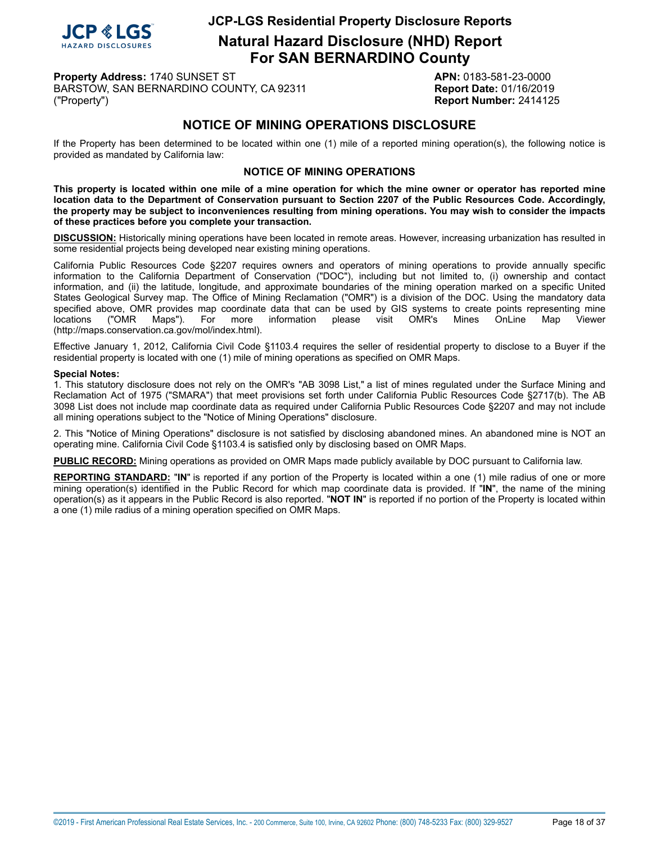

**Natural Hazard Disclosure (NHD) Report For SAN BERNARDINO County**

**Property Address:** 1740 SUNSET ST **APN:** 0183-581-23-0000 BARSTOW, SAN BERNARDINO COUNTY, CA 92311 **Report Date:** 01/16/2019 ("Property") **Report Number:** 2414125

# **NOTICE OF MINING OPERATIONS DISCLOSURE**

<span id="page-17-0"></span>If the Property has been determined to be located within one (1) mile of a reported mining operation(s), the following notice is provided as mandated by California law:

#### **NOTICE OF MINING OPERATIONS**

This property is located within one mile of a mine operation for which the mine owner or operator has reported mine location data to the Department of Conservation pursuant to Section 2207 of the Public Resources Code. Accordingly, the property may be subject to inconveniences resulting from mining operations. You may wish to consider the impacts **of these practices before you complete your transaction.**

**DISCUSSION:** Historically mining operations have been located in remote areas. However, increasing urbanization has resulted in some residential projects being developed near existing mining operations.

California Public Resources Code §2207 requires owners and operators of mining operations to provide annually specific information to the California Department of Conservation ("DOC"), including but not limited to, (i) ownership and contact information, and (ii) the latitude, longitude, and approximate boundaries of the mining operation marked on a specific United States Geological Survey map. The Office of Mining Reclamation ("OMR") is a division of the DOC. Using the mandatory data specified above, OMR provides map coordinate data that can be used by GIS systems to create points representing mine<br>locations ("OMR Maps"). For more information please visit OMR's Mines OnLine Map Viewer locations ("OMR Maps"). For more information please visit OMR's Mines OnLine Map Viewer (http://maps.conservation.ca.gov/mol/index.html).

Effective January 1, 2012, California Civil Code §1103.4 requires the seller of residential property to disclose to a Buyer if the residential property is located with one (1) mile of mining operations as specified on OMR Maps.

#### **Special Notes:**

1. This statutory disclosure does not rely on the OMR's "AB 3098 List," a list of mines regulated under the Surface Mining and Reclamation Act of 1975 ("SMARA") that meet provisions set forth under California Public Resources Code §2717(b). The AB 3098 List does not include map coordinate data as required under California Public Resources Code §2207 and may not include all mining operations subject to the "Notice of Mining Operations" disclosure.

2. This "Notice of Mining Operations" disclosure is not satisfied by disclosing abandoned mines. An abandoned mine is NOT an operating mine. California Civil Code §1103.4 is satisfied only by disclosing based on OMR Maps.

**PUBLIC RECORD:** Mining operations as provided on OMR Maps made publicly available by DOC pursuant to California law.

**REPORTING STANDARD:** "**IN**" is reported if any portion of the Property is located within a one (1) mile radius of one or more mining operation(s) identified in the Public Record for which map coordinate data is provided. If "**IN**", the name of the mining operation(s) as it appears in the Public Record is also reported. "**NOT IN**" is reported if no portion of the Property is located within a one (1) mile radius of a mining operation specified on OMR Maps.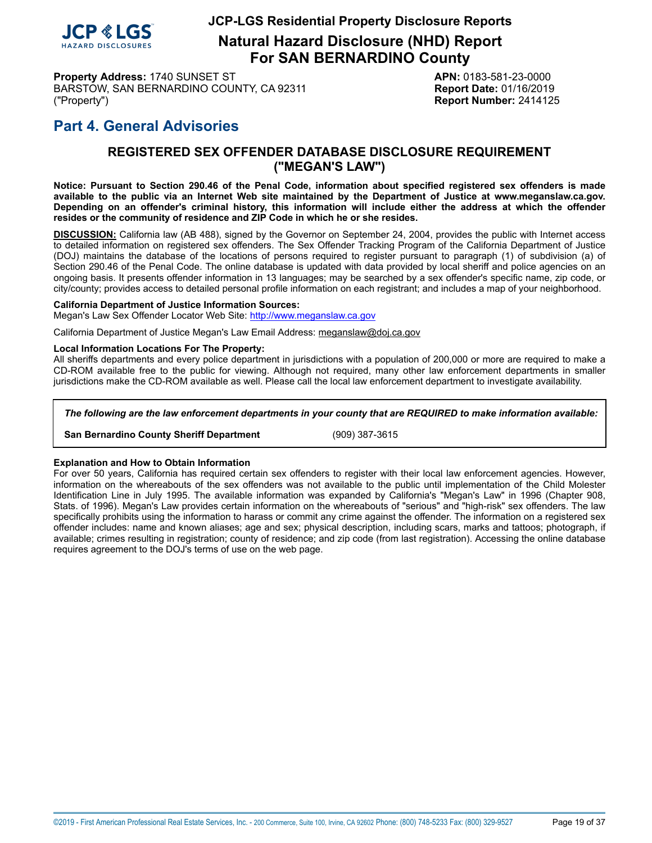

**Natural Hazard Disclosure (NHD) Report For SAN BERNARDINO County**

**Property Address:** 1740 SUNSET ST **APN:** 0183-581-23-0000 BARSTOW, SAN BERNARDINO COUNTY, CA 92311 **Report Date:** 01/16/2019 ("Property") **Report Number:** 2414125

# <span id="page-18-0"></span>**Part 4. General Advisories**

### **REGISTERED SEX OFFENDER DATABASE DISCLOSURE REQUIREMENT ("MEGAN'S LAW")**

Notice: Pursuant to Section 290.46 of the Penal Code, information about specified registered sex offenders is made available to the public via an Internet Web site maintained by the Department of Justice at www.meganslaw.ca.gov. Depending on an offender's criminal history, this information will include either the address at which the offender **resides or the community of residence and ZIP Code in which he or she resides.**

**DISCUSSION:** California law (AB 488), signed by the Governor on September 24, 2004, provides the public with Internet access to detailed information on registered sex offenders. The Sex Offender Tracking Program of the California Department of Justice (DOJ) maintains the database of the locations of persons required to register pursuant to paragraph (1) of subdivision (a) of Section 290.46 of the Penal Code. The online database is updated with data provided by local sheriff and police agencies on an ongoing basis. It presents offender information in 13 languages; may be searched by a sex offender's specific name, zip code, or city/county; provides access to detailed personal profile information on each registrant; and includes a map of your neighborhood.

#### **California Department of Justice Information Sources:**

Megan's Law Sex Offender Locator Web Site: <http://www.meganslaw.ca.gov>

California Department of Justice Megan's Law Email Address: meganslaw@doj.ca.gov

#### **Local Information Locations For The Property:**

All sheriffs departments and every police department in jurisdictions with a population of 200,000 or more are required to make a CD-ROM available free to the public for viewing. Although not required, many other law enforcement departments in smaller jurisdictions make the CD-ROM available as well. Please call the local law enforcement department to investigate availability.

*The following are the law enforcement departments in your county that are REQUIRED to make information available:*

**San Bernardino County Sheriff Department** (909) 387-3615

#### **Explanation and How to Obtain Information**

For over 50 years, California has required certain sex offenders to register with their local law enforcement agencies. However, information on the whereabouts of the sex offenders was not available to the public until implementation of the Child Molester Identification Line in July 1995. The available information was expanded by California's "Megan's Law" in 1996 (Chapter 908, Stats. of 1996). Megan's Law provides certain information on the whereabouts of "serious" and "high-risk" sex offenders. The law specifically prohibits using the information to harass or commit any crime against the offender. The information on a registered sex offender includes: name and known aliases; age and sex; physical description, including scars, marks and tattoos; photograph, if available; crimes resulting in registration; county of residence; and zip code (from last registration). Accessing the online database requires agreement to the DOJ's terms of use on the web page.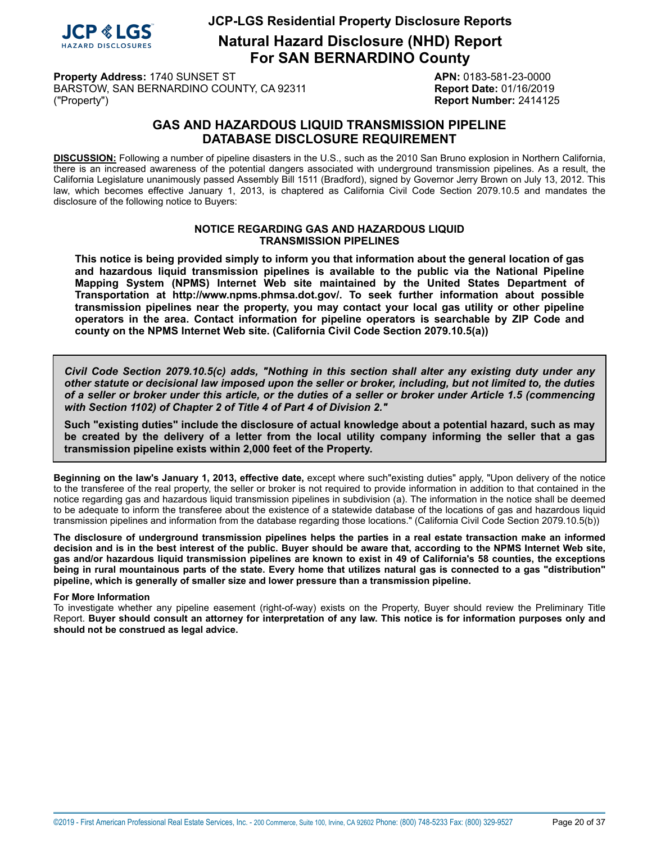

**Natural Hazard Disclosure (NHD) Report For SAN BERNARDINO County**

**Property Address:** 1740 SUNSET ST **APN:** 0183-581-23-0000 BARSTOW, SAN BERNARDINO COUNTY, CA 92311 **Report Date:** 01/16/2019 ("Property") **Report Number:** 2414125

### **GAS AND HAZARDOUS LIQUID TRANSMISSION PIPELINE DATABASE DISCLOSURE REQUIREMENT**

<span id="page-19-0"></span>**DISCUSSION:** Following a number of pipeline disasters in the U.S., such as the 2010 San Bruno explosion in Northern California, there is an increased awareness of the potential dangers associated with underground transmission pipelines. As a result, the California Legislature unanimously passed Assembly Bill 1511 (Bradford), signed by Governor Jerry Brown on July 13, 2012. This law, which becomes effective January 1, 2013, is chaptered as California Civil Code Section 2079.10.5 and mandates the disclosure of the following notice to Buyers:

#### **NOTICE REGARDING GAS AND HAZARDOUS LIQUID TRANSMISSION PIPELINES**

**This notice is being provided simply to inform you that information about the general location of gas and hazardous liquid transmission pipelines is available to the public via the National Pipeline Mapping System (NPMS) Internet Web site maintained by the United States Department of Transportation at http://www.npms.phmsa.dot.gov/. To seek further information about possible transmission pipelines near the property, you may contact your local gas utility or other pipeline operators in the area. Contact information for pipeline operators is searchable by ZIP Code and county on the NPMS Internet Web site. (California Civil Code Section 2079.10.5(a))**

*Civil Code Section 2079.10.5(c) adds, "Nothing in this section shall alter any existing duty under any* other statute or decisional law imposed upon the seller or broker, including, but not limited to, the duties of a seller or broker under this article, or the duties of a seller or broker under Article 1.5 (commencing *with Section 1102) of Chapter 2 of Title 4 of Part 4 of Division 2."*

**Such "existing duties" include the disclosure of actual knowledge about a potential hazard, such as may** be created by the delivery of a letter from the local utility company informing the seller that a gas **transmission pipeline exists within 2,000 feet of the Property.**

**Beginning on the law's January 1, 2013, effective date,** except where such"existing duties" apply, "Upon delivery of the notice to the transferee of the real property, the seller or broker is not required to provide information in addition to that contained in the notice regarding gas and hazardous liquid transmission pipelines in subdivision (a). The information in the notice shall be deemed to be adequate to inform the transferee about the existence of a statewide database of the locations of gas and hazardous liquid transmission pipelines and information from the database regarding those locations." (California Civil Code Section 2079.10.5(b))

The disclosure of underground transmission pipelines helps the parties in a real estate transaction make an informed decision and is in the best interest of the public. Buyer should be aware that, according to the NPMS Internet Web site, gas and/or hazardous liguid transmission pipelines are known to exist in 49 of California's 58 counties, the exceptions being in rural mountainous parts of the state. Every home that utilizes natural gas is connected to a gas "distribution" **pipeline, which is generally of smaller size and lower pressure than a transmission pipeline.**

#### **For More Information**

To investigate whether any pipeline easement (right-of-way) exists on the Property, Buyer should review the Preliminary Title Report. Buyer should consult an attorney for interpretation of any law. This notice is for information purposes only and **should not be construed as legal advice.**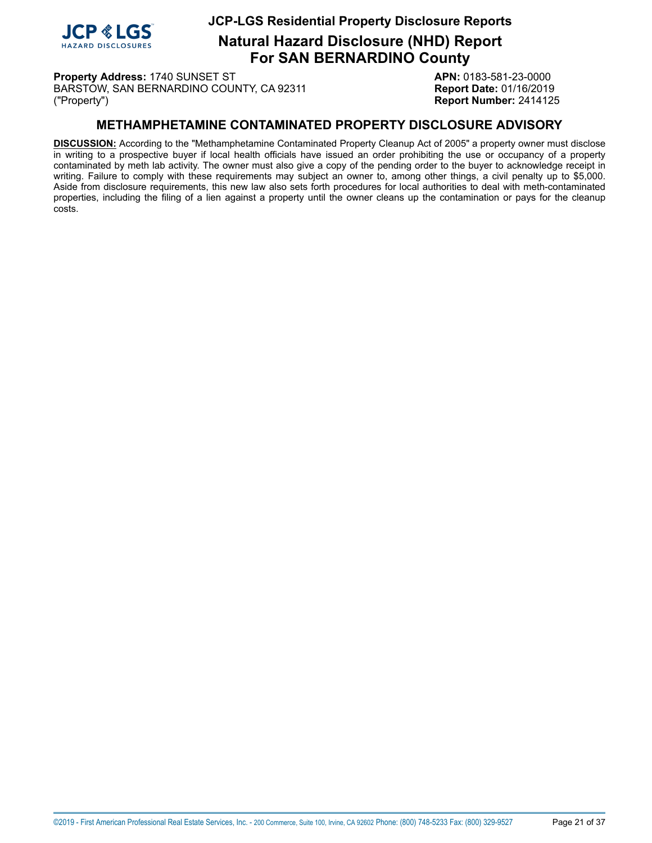

**Natural Hazard Disclosure (NHD) Report For SAN BERNARDINO County**

**Property Address:** 1740 SUNSET ST **APN:** 0183-581-23-0000 BARSTOW, SAN BERNARDINO COUNTY, CA 92311 **Report Date:** 01/16/2019 ("Property") **Report Number:** 2414125

### **METHAMPHETAMINE CONTAMINATED PROPERTY DISCLOSURE ADVISORY**

<span id="page-20-0"></span>**DISCUSSION:** According to the "Methamphetamine Contaminated Property Cleanup Act of 2005" a property owner must disclose in writing to a prospective buyer if local health officials have issued an order prohibiting the use or occupancy of a property contaminated by meth lab activity. The owner must also give a copy of the pending order to the buyer to acknowledge receipt in writing. Failure to comply with these requirements may subject an owner to, among other things, a civil penalty up to \$5,000. Aside from disclosure requirements, this new law also sets forth procedures for local authorities to deal with meth-contaminated properties, including the filing of a lien against a property until the owner cleans up the contamination or pays for the cleanup costs.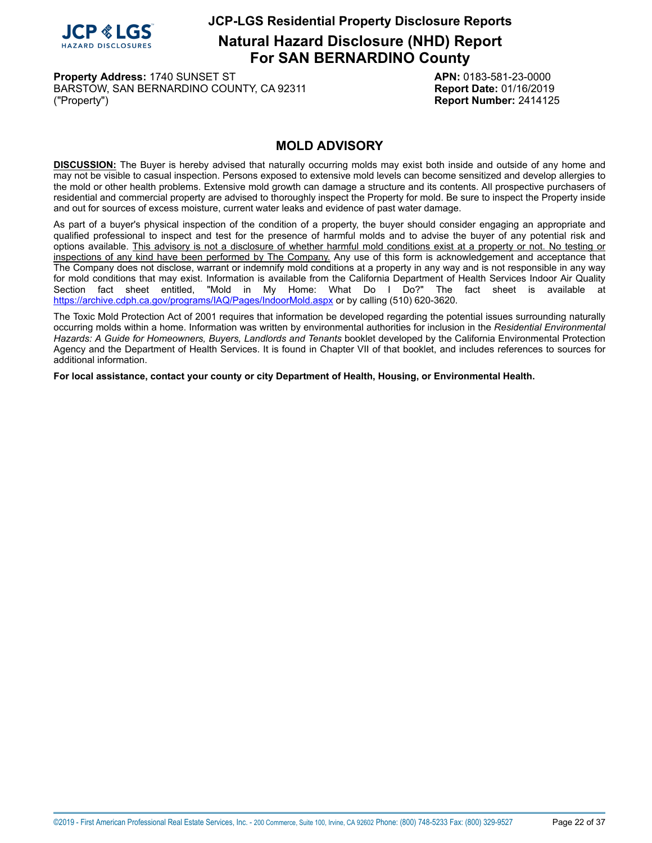

**Natural Hazard Disclosure (NHD) Report For SAN BERNARDINO County**

**Property Address:** 1740 SUNSET ST **APN:** 0183-581-23-0000 BARSTOW, SAN BERNARDINO COUNTY, CA 92311 **Report Date:** 01/16/2019 ("Property") **Report Number:** 2414125

### **MOLD ADVISORY**

<span id="page-21-0"></span>**DISCUSSION:** The Buyer is hereby advised that naturally occurring molds may exist both inside and outside of any home and may not be visible to casual inspection. Persons exposed to extensive mold levels can become sensitized and develop allergies to the mold or other health problems. Extensive mold growth can damage a structure and its contents. All prospective purchasers of residential and commercial property are advised to thoroughly inspect the Property for mold. Be sure to inspect the Property inside and out for sources of excess moisture, current water leaks and evidence of past water damage.

As part of a buyer's physical inspection of the condition of a property, the buyer should consider engaging an appropriate and qualified professional to inspect and test for the presence of harmful molds and to advise the buyer of any potential risk and options available. This advisory is not a disclosure of whether harmful mold conditions exist at a property or not. No testing or inspections of any kind have been performed by The Company. Any use of this form is acknowledgement and acceptance that The Company does not disclose, warrant or indemnify mold conditions at a property in any way and is not responsible in any way for mold conditions that may exist. Information is available from the California Department of Health Services Indoor Air Quality<br>Section fact sheet entitled. "Mold in My Home: What Do I Do?" The fact sheet is available at "Mold in My Home: What Do I Do?" The fact sheet is available at <https://archive.cdph.ca.gov/programs/IAQ/Pages/IndoorMold.aspx> or by calling (510) 620-3620.

The Toxic Mold Protection Act of 2001 requires that information be developed regarding the potential issues surrounding naturally occurring molds within a home. Information was written by environmental authorities for inclusion in the *Residential Environmental Hazards: A Guide for Homeowners, Buyers, Landlords and Tenants* booklet developed by the California Environmental Protection Agency and the Department of Health Services. It is found in Chapter VII of that booklet, and includes references to sources for additional information.

**For local assistance, contact your county or city Department of Health, Housing, or Environmental Health.**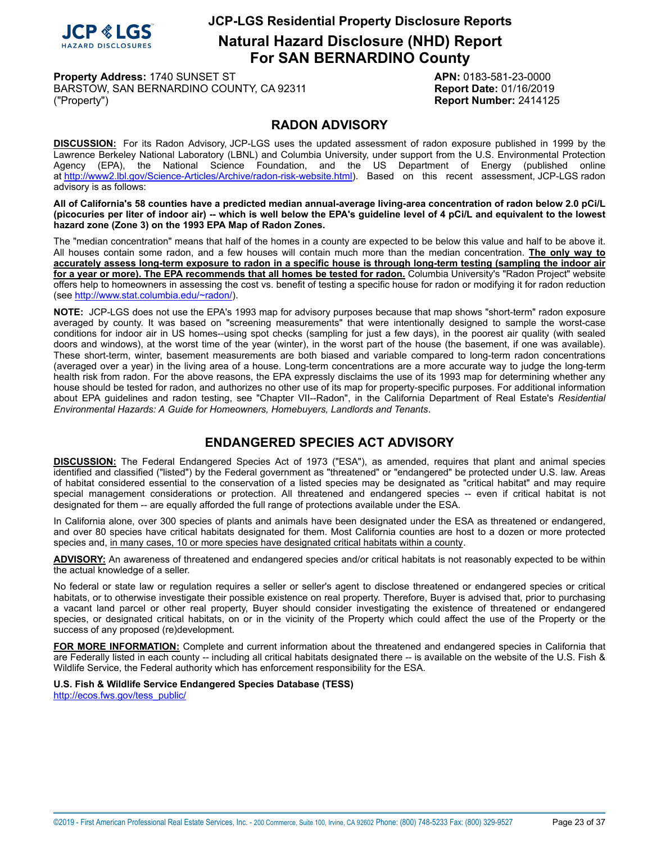

**Natural Hazard Disclosure (NHD) Report For SAN BERNARDINO County**

**Property Address:** 1740 SUNSET ST **APN:** 0183-581-23-0000 BARSTOW, SAN BERNARDINO COUNTY, CA 92311 **Report Date:** 01/16/2019 ("Property") **Report Number:** 2414125

### **RADON ADVISORY**

<span id="page-22-0"></span>**DISCUSSION:** For its Radon Advisory, JCP-LGS uses the updated assessment of radon exposure published in 1999 by the Lawrence Berkeley National Laboratory (LBNL) and Columbia University, under support from the U.S. Environmental Protection Agency (EPA), the National Science Foundation, and the US Department of Energy (published online at [http://www2.lbl.gov/Science-Articles/Archive/radon-risk-website.html\)](http://www2.lbl.gov/Science-Articles/Archive/radon-risk-website.html). Based on this recent assessment, JCP-LGS radon advisory is as follows:

All of California's 58 counties have a predicted median annual-average living-area concentration of radon below 2.0 pCi/L (picocuries per liter of indoor air) -- which is well below the EPA's guideline level of 4 pCi/L and equivalent to the lowest **hazard zone (Zone 3) on the 1993 EPA Map of Radon Zones.**

The "median concentration" means that half of the homes in a county are expected to be below this value and half to be above it. All houses contain some radon, and a few houses will contain much more than the median concentration. **The only way to** accurately assess long-term exposure to radon in a specific house is through long-term testing (sampling the indoor air for a year or more). The EPA recommends that all homes be tested for radon. Columbia University's "Radon Project" website offers help to homeowners in assessing the cost vs. benefit of testing a specific house for radon or modifying it for radon reduction (see<http://www.stat.columbia.edu/~radon/>).

**NOTE:** JCP-LGS does not use the EPA's 1993 map for advisory purposes because that map shows "short-term" radon exposure averaged by county. It was based on "screening measurements" that were intentionally designed to sample the worst-case conditions for indoor air in US homes--using spot checks (sampling for just a few days), in the poorest air quality (with sealed doors and windows), at the worst time of the year (winter), in the worst part of the house (the basement, if one was available). These short-term, winter, basement measurements are both biased and variable compared to long-term radon concentrations (averaged over a year) in the living area of a house. Long-term concentrations are a more accurate way to judge the long-term health risk from radon. For the above reasons, the EPA expressly disclaims the use of its 1993 map for determining whether any house should be tested for radon, and authorizes no other use of its map for property-specific purposes. For additional information about EPA guidelines and radon testing, see "Chapter VII--Radon", in the California Department of Real Estate's *Residential Environmental Hazards: A Guide for Homeowners, Homebuyers, Landlords and Tenants*.

# **ENDANGERED SPECIES ACT ADVISORY**

<span id="page-22-1"></span>**DISCUSSION:** The Federal Endangered Species Act of 1973 ("ESA"), as amended, requires that plant and animal species identified and classified ("listed") by the Federal government as "threatened" or "endangered" be protected under U.S. law. Areas of habitat considered essential to the conservation of a listed species may be designated as "critical habitat" and may require special management considerations or protection. All threatened and endangered species -- even if critical habitat is not designated for them -- are equally afforded the full range of protections available under the ESA.

In California alone, over 300 species of plants and animals have been designated under the ESA as threatened or endangered, and over 80 species have critical habitats designated for them. Most California counties are host to a dozen or more protected species and, in many cases, 10 or more species have designated critical habitats within a county.

**ADVISORY:** An awareness of threatened and endangered species and/or critical habitats is not reasonably expected to be within the actual knowledge of a seller.

No federal or state law or regulation requires a seller or seller's agent to disclose threatened or endangered species or critical habitats, or to otherwise investigate their possible existence on real property. Therefore, Buyer is advised that, prior to purchasing a vacant land parcel or other real property, Buyer should consider investigating the existence of threatened or endangered species, or designated critical habitats, on or in the vicinity of the Property which could affect the use of the Property or the success of any proposed (re)development.

**FOR MORE INFORMATION:** Complete and current information about the threatened and endangered species in California that are Federally listed in each county -- including all critical habitats designated there -- is available on the website of the U.S. Fish & Wildlife Service, the Federal authority which has enforcement responsibility for the ESA.

**U.S. Fish & Wildlife Service Endangered Species Database (TESS)** [http://ecos.fws.gov/tess\\_public/](http://ecos.fws.gov/tess_public/)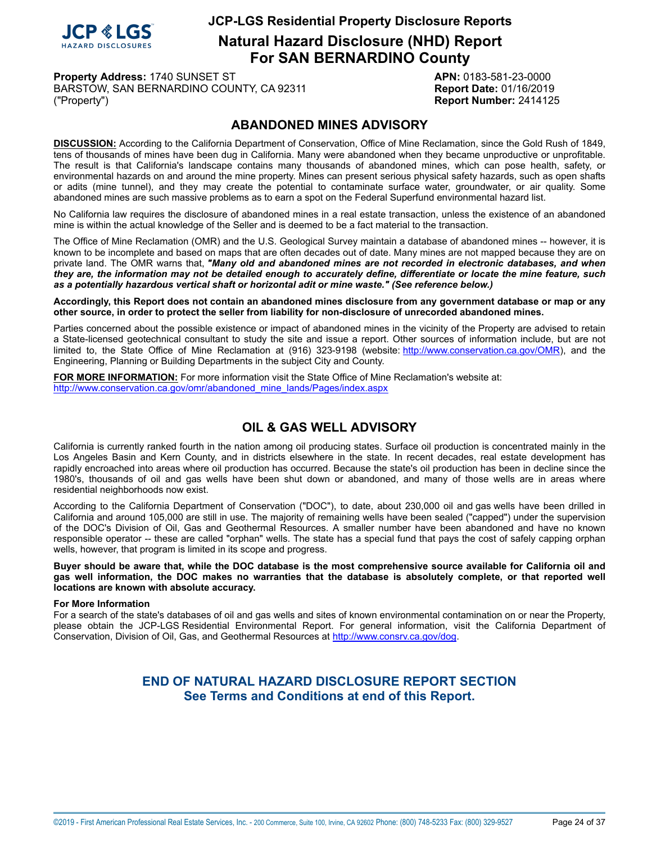

**Natural Hazard Disclosure (NHD) Report For SAN BERNARDINO County**

**Property Address:** 1740 SUNSET ST **APN:** 0183-581-23-0000 BARSTOW, SAN BERNARDINO COUNTY, CA 92311 **Report Date:** 01/16/2019 ("Property") **Report Number:** 2414125

### **ABANDONED MINES ADVISORY**

<span id="page-23-0"></span>**DISCUSSION:** According to the California Department of Conservation, Office of Mine Reclamation, since the Gold Rush of 1849, tens of thousands of mines have been dug in California. Many were abandoned when they became unproductive or unprofitable. The result is that California's landscape contains many thousands of abandoned mines, which can pose health, safety, or environmental hazards on and around the mine property. Mines can present serious physical safety hazards, such as open shafts or adits (mine tunnel), and they may create the potential to contaminate surface water, groundwater, or air quality. Some abandoned mines are such massive problems as to earn a spot on the Federal Superfund environmental hazard list.

No California law requires the disclosure of abandoned mines in a real estate transaction, unless the existence of an abandoned mine is within the actual knowledge of the Seller and is deemed to be a fact material to the transaction.

The Office of Mine Reclamation (OMR) and the U.S. Geological Survey maintain a database of abandoned mines -- however, it is known to be incomplete and based on maps that are often decades out of date. Many mines are not mapped because they are on private land. The OMR warns that, *"Many old and abandoned mines are not recorded in electronic databases, and when* they are, the information may not be detailed enough to accurately define, differentiate or locate the mine feature, such *as a potentially hazardous vertical shaft or horizontal adit or mine waste." (See reference below.)*

Accordingly, this Report does not contain an abandoned mines disclosure from any government database or map or any **other source, in order to protect the seller from liability for non-disclosure of unrecorded abandoned mines.**

Parties concerned about the possible existence or impact of abandoned mines in the vicinity of the Property are advised to retain a State-licensed geotechnical consultant to study the site and issue a report. Other sources of information include, but are not limited to, the State Office of Mine Reclamation at (916) 323-9198 (website: <http://www.conservation.ca.gov/OMR>), and the Engineering, Planning or Building Departments in the subject City and County.

**FOR MORE INFORMATION:** For more information visit the State Office of Mine Reclamation's website at: [http://www.conservation.ca.gov/omr/abandoned\\_mine\\_lands/Pages/index.aspx](http://www.conservation.ca.gov/omr/abandoned_mine_lands/Pages/index.aspx)

# **OIL & GAS WELL ADVISORY**

<span id="page-23-1"></span>California is currently ranked fourth in the nation among oil producing states. Surface oil production is concentrated mainly in the Los Angeles Basin and Kern County, and in districts elsewhere in the state. In recent decades, real estate development has rapidly encroached into areas where oil production has occurred. Because the state's oil production has been in decline since the 1980's, thousands of oil and gas wells have been shut down or abandoned, and many of those wells are in areas where residential neighborhoods now exist.

According to the California Department of Conservation ("DOC"), to date, about 230,000 oil and gas wells have been drilled in California and around 105,000 are still in use. The majority of remaining wells have been sealed ("capped") under the supervision of the DOC's Division of Oil, Gas and Geothermal Resources. A smaller number have been abandoned and have no known responsible operator -- these are called "orphan" wells. The state has a special fund that pays the cost of safely capping orphan wells, however, that program is limited in its scope and progress.

Buyer should be aware that, while the DOC database is the most comprehensive source available for California oil and gas well information, the DOC makes no warranties that the database is absolutely complete, or that reported well **locations are known with absolute accuracy.**

#### **For More Information**

For a search of the state's databases of oil and gas wells and sites of known environmental contamination on or near the Property, please obtain the JCP-LGS Residential Environmental Report. For general information, visit the California Department of Conservation, Division of Oil, Gas, and Geothermal Resources at [http://www.consrv.ca.gov/dog.](http://www.consrv.ca.gov/dog)

### **END OF NATURAL HAZARD DISCLOSURE REPORT SECTION See Terms and Conditions at end of this Report.**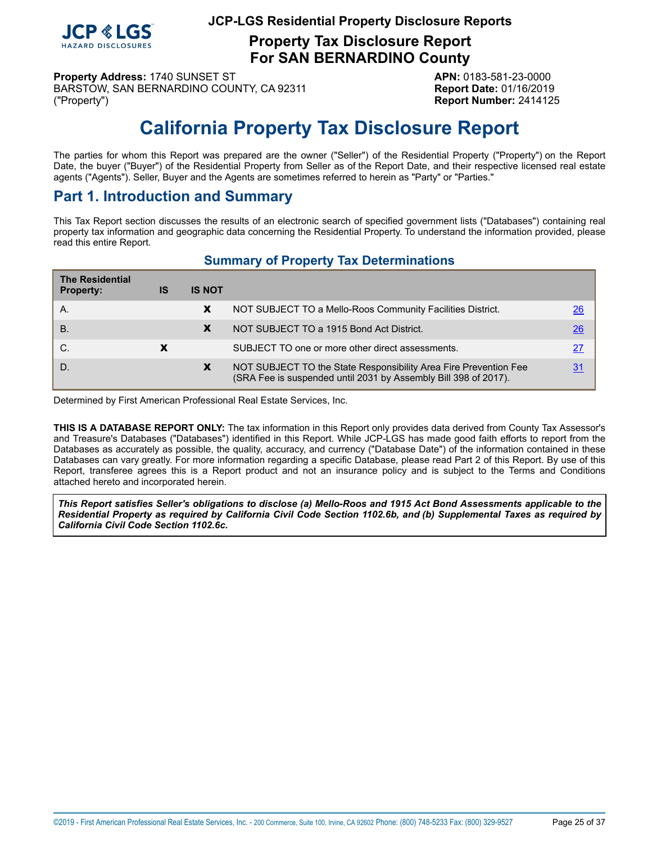

**Property Tax Disclosure Report For SAN BERNARDINO County**

**Property Address:** 1740 SUNSET ST **APN:** 0183-581-23-0000 BARSTOW, SAN BERNARDINO COUNTY, CA 92311 **Report Date:** 01/16/2019 ("Property") **Report Number:** 2414125

# **California Property Tax Disclosure Report**

<span id="page-24-0"></span>The parties for whom this Report was prepared are the owner ("Seller") of the Residential Property ("Property") on the Report Date, the buyer ("Buyer") of the Residential Property from Seller as of the Report Date, and their respective licensed real estate agents ("Agents"). Seller, Buyer and the Agents are sometimes referred to herein as "Party" or "Parties."

# **Part 1. Introduction and Summary**

This Tax Report section discusses the results of an electronic search of specified government lists ("Databases") containing real property tax information and geographic data concerning the Residential Property. To understand the information provided, please read this entire Report.

# **Summary of Property Tax Determinations**

| <b>The Residential</b><br><b>Property:</b> | IS | <b>IS NOT</b> |                                                                                                                                     |                 |
|--------------------------------------------|----|---------------|-------------------------------------------------------------------------------------------------------------------------------------|-----------------|
| A.                                         |    | X             | NOT SUBJECT TO a Mello-Roos Community Facilities District.                                                                          | 26              |
| <b>B.</b>                                  |    | X             | NOT SUBJECT TO a 1915 Bond Act District.                                                                                            | $\overline{26}$ |
| C.                                         |    |               | SUBJECT TO one or more other direct assessments.                                                                                    | 27              |
| D.                                         |    | X             | NOT SUBJECT TO the State Responsibility Area Fire Prevention Fee<br>(SRA Fee is suspended until 2031 by Assembly Bill 398 of 2017). | 31              |

Determined by First American Professional Real Estate Services, Inc.

**THIS IS A DATABASE REPORT ONLY:** The tax information in this Report only provides data derived from County Tax Assessor's and Treasure's Databases ("Databases") identified in this Report. While JCP-LGS has made good faith efforts to report from the Databases as accurately as possible, the quality, accuracy, and currency ("Database Date") of the information contained in these Databases can vary greatly. For more information regarding a specific Database, please read Part 2 of this Report. By use of this Report, transferee agrees this is a Report product and not an insurance policy and is subject to the Terms and Conditions attached hereto and incorporated herein.

This Report satisfies Seller's obligations to disclose (a) Mello-Roos and 1915 Act Bond Assessments applicable to the Residential Property as required by California Civil Code Section 1102.6b, and (b) Supplemental Taxes as required by *California Civil Code Section 1102.6c.*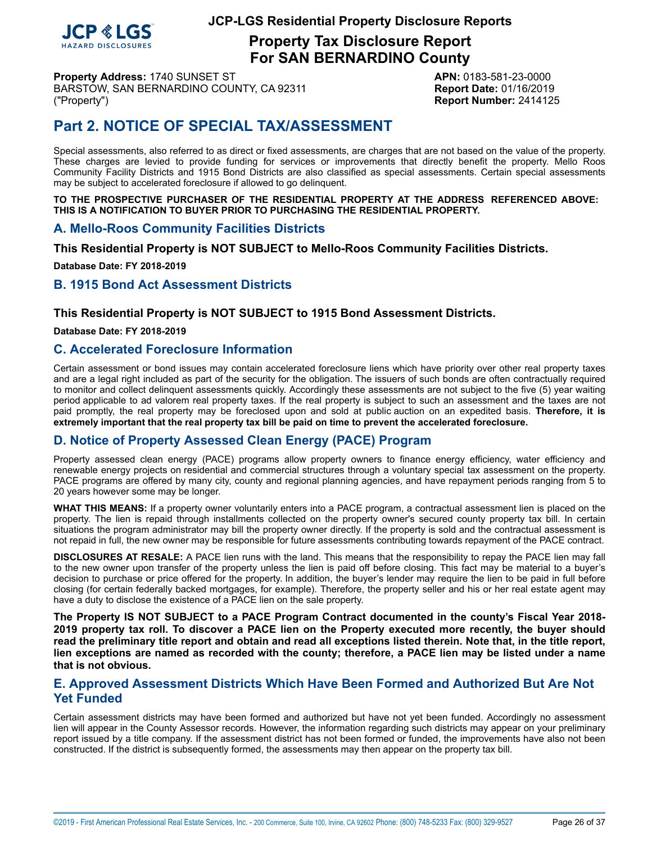

**Property Tax Disclosure Report For SAN BERNARDINO County**

**Property Address:** 1740 SUNSET ST **APN:** 0183-581-23-0000 BARSTOW, SAN BERNARDINO COUNTY, CA 92311 Report Date: 01/16/2019 ("Property") **Report Number:** 2414125

# **Part 2. NOTICE OF SPECIAL TAX/ASSESSMENT**

Special assessments, also referred to as direct or fixed assessments, are charges that are not based on the value of the property. These charges are levied to provide funding for services or improvements that directly benefit the property. Mello Roos Community Facility Districts and 1915 Bond Districts are also classified as special assessments. Certain special assessments may be subject to accelerated foreclosure if allowed to go delinquent.

**TO THE PROSPECTIVE PURCHASER OF THE RESIDENTIAL PROPERTY AT THE ADDRESS REFERENCED ABOVE: THIS IS A NOTIFICATION TO BUYER PRIOR TO PURCHASING THE RESIDENTIAL PROPERTY.**

### <span id="page-25-0"></span>**A. Mello-Roos Community Facilities Districts**

**This Residential Property is NOT SUBJECT to Mello-Roos Community Facilities Districts.**

**Database Date: FY 2018-2019**

### <span id="page-25-1"></span>**B. 1915 Bond Act Assessment Districts**

### **This Residential Property is NOT SUBJECT to 1915 Bond Assessment Districts.**

**Database Date: FY 2018-2019**

### **C. Accelerated Foreclosure Information**

Certain assessment or bond issues may contain accelerated foreclosure liens which have priority over other real property taxes and are a legal right included as part of the security for the obligation. The issuers of such bonds are often contractually required to monitor and collect delinquent assessments quickly. Accordingly these assessments are not subject to the five (5) year waiting period applicable to ad valorem real property taxes. If the real property is subject to such an assessment and the taxes are not paid promptly, the real property may be foreclosed upon and sold at public auction on an expedited basis. **Therefore, it is extremely important that the real property tax bill be paid on time to prevent the accelerated foreclosure.**

### **D. Notice of Property Assessed Clean Energy (PACE) Program**

Property assessed clean energy (PACE) programs allow property owners to finance energy efficiency, water efficiency and renewable energy projects on residential and commercial structures through a voluntary special tax assessment on the property. PACE programs are offered by many city, county and regional planning agencies, and have repayment periods ranging from 5 to 20 years however some may be longer.

**WHAT THIS MEANS:** If a property owner voluntarily enters into a PACE program, a contractual assessment lien is placed on the property. The lien is repaid through installments collected on the property owner's secured county property tax bill. In certain situations the program administrator may bill the property owner directly. If the property is sold and the contractual assessment is not repaid in full, the new owner may be responsible for future assessments contributing towards repayment of the PACE contract.

**DISCLOSURES AT RESALE:** A PACE lien runs with the land. This means that the responsibility to repay the PACE lien may fall to the new owner upon transfer of the property unless the lien is paid off before closing. This fact may be material to a buyer's decision to purchase or price offered for the property. In addition, the buyer's lender may require the lien to be paid in full before closing (for certain federally backed mortgages, for example). Therefore, the property seller and his or her real estate agent may have a duty to disclose the existence of a PACE lien on the sale property.

**The Property IS NOT SUBJECT to a PACE Program Contract documented in the county's Fiscal Year 2018-** 2019 property tax roll. To discover a PACE lien on the Property executed more recently, the buyer should read the preliminary title report and obtain and read all exceptions listed therein. Note that, in the title report, lien exceptions are named as recorded with the county; therefore, a PACE lien may be listed under a name **that is not obvious.**

### **E. Approved Assessment Districts Which Have Been Formed and Authorized But Are Not Yet Funded**

Certain assessment districts may have been formed and authorized but have not yet been funded. Accordingly no assessment lien will appear in the County Assessor records. However, the information regarding such districts may appear on your preliminary report issued by a title company. If the assessment district has not been formed or funded, the improvements have also not been constructed. If the district is subsequently formed, the assessments may then appear on the property tax bill.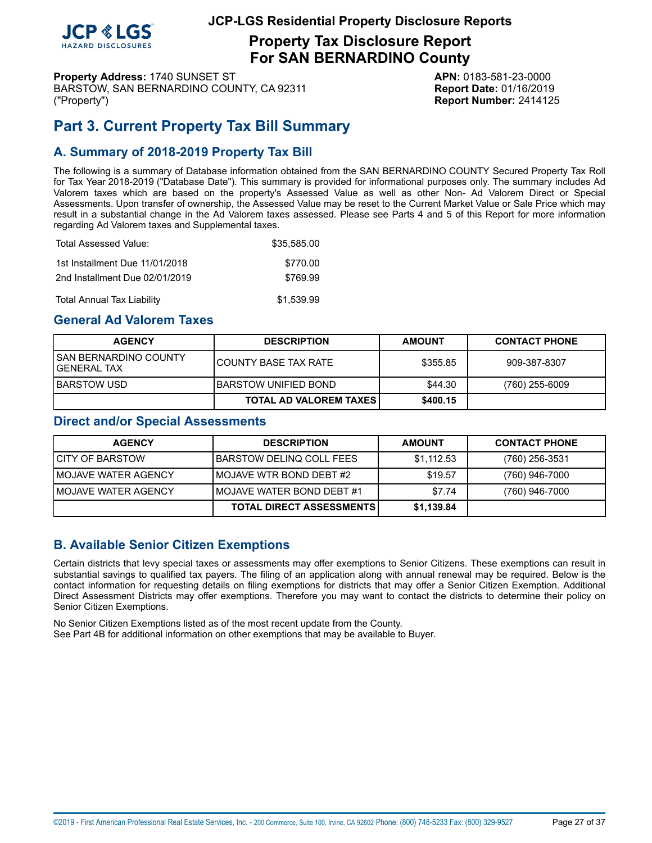

**Property Tax Disclosure Report For SAN BERNARDINO County**

**Property Address:** 1740 SUNSET ST **APN:** 0183-581-23-0000 BARSTOW, SAN BERNARDINO COUNTY, CA 92311 Report Date: 01/16/2019 ("Property") **Report Number:** 2414125

# <span id="page-26-0"></span>**Part 3. Current Property Tax Bill Summary**

# **A. Summary of 2018-2019 Property Tax Bill**

The following is a summary of Database information obtained from the SAN BERNARDINO COUNTY Secured Property Tax Roll for Tax Year 2018-2019 ("Database Date"). This summary is provided for informational purposes only. The summary includes Ad Valorem taxes which are based on the property's Assessed Value as well as other Non- Ad Valorem Direct or Special Assessments. Upon transfer of ownership, the Assessed Value may be reset to the Current Market Value or Sale Price which may result in a substantial change in the Ad Valorem taxes assessed. Please see Parts 4 and 5 of this Report for more information regarding Ad Valorem taxes and Supplemental taxes.

| Total Assessed Value:          | \$35.585.00 |
|--------------------------------|-------------|
| 1st Installment Due 11/01/2018 | \$770.00    |
| 2nd Installment Due 02/01/2019 | \$769.99    |
| Total Annual Tax Liability     | \$1,539.99  |

### **General Ad Valorem Taxes**

| <b>AGENCY</b>                          | <b>DESCRIPTION</b>              | <b>AMOUNT</b> | <b>CONTACT PHONE</b> |
|----------------------------------------|---------------------------------|---------------|----------------------|
| ISAN BERNARDINO COUNTY<br>lGENERAL TAX | I COUNTY BASE TAX RATE          | \$355.85      | 909-387-8307         |
| IBARSTOW USD                           | IBARSTOW UNIFIED BOND           | \$44.30       | $(760)$ 255-6009     |
|                                        | <b>TOTAL AD VALOREM TAXES I</b> | \$400.15      |                      |

### **Direct and/or Special Assessments**

| <b>AGENCY</b>               | <b>DESCRIPTION</b>              | <b>AMOUNT</b> | <b>CONTACT PHONE</b> |
|-----------------------------|---------------------------------|---------------|----------------------|
| <b>ICITY OF BARSTOW</b>     | IBARSTOW DELINQ COLL FEES       | \$1,112.53    | (760) 256-3531       |
| <b>IMOJAVE WATER AGENCY</b> | <b>IMOJAVE WTR BOND DEBT #2</b> | \$19.57       | (760) 946-7000       |
| <b>IMOJAVE WATER AGENCY</b> | IMOJAVE WATER BOND DEBT #1      | \$7.74        | (760) 946-7000       |
|                             | <b>TOTAL DIRECT ASSESSMENTS</b> | \$1,139.84    |                      |

# **B. Available Senior Citizen Exemptions**

Certain districts that levy special taxes or assessments may offer exemptions to Senior Citizens. These exemptions can result in substantial savings to qualified tax payers. The filing of an application along with annual renewal may be required. Below is the contact information for requesting details on filing exemptions for districts that may offer a Senior Citizen Exemption. Additional Direct Assessment Districts may offer exemptions. Therefore you may want to contact the districts to determine their policy on Senior Citizen Exemptions.

No Senior Citizen Exemptions listed as of the most recent update from the County. See Part 4B for additional information on other exemptions that may be available to Buyer.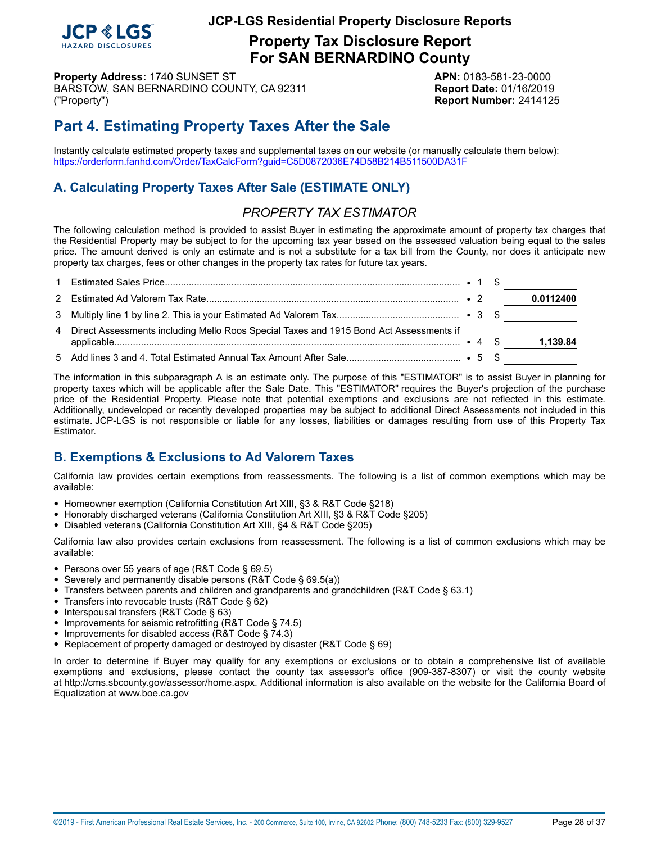

**Property Tax Disclosure Report For SAN BERNARDINO County**

**Property Address:** 1740 SUNSET ST **APN:** 0183-581-23-0000 BARSTOW, SAN BERNARDINO COUNTY, CA 92311 **Report Date:** 01/16/2019 ("Property") **Report Number:** 2414125

# **Part 4. Estimating Property Taxes After the Sale**

Instantly calculate estimated property taxes and supplemental taxes on our website (or manually calculate them below): <https://orderform.fanhd.com/Order/TaxCalcForm?guid=C5D0872036E74D58B214B511500DA31F>

# **A. Calculating Property Taxes After Sale (ESTIMATE ONLY)**

# *PROPERTY TAX ESTIMATOR*

The following calculation method is provided to assist Buyer in estimating the approximate amount of property tax charges that the Residential Property may be subject to for the upcoming tax year based on the assessed valuation being equal to the sales price. The amount derived is only an estimate and is not a substitute for a tax bill from the County, nor does it anticipate new property tax charges, fees or other changes in the property tax rates for future tax years.

|                                                                                          |  | 0.0112400 |
|------------------------------------------------------------------------------------------|--|-----------|
|                                                                                          |  |           |
| 4 Direct Assessments including Mello Roos Special Taxes and 1915 Bond Act Assessments if |  | 1,139.84  |
|                                                                                          |  |           |

The information in this subparagraph A is an estimate only. The purpose of this "ESTIMATOR" is to assist Buyer in planning for property taxes which will be applicable after the Sale Date. This "ESTIMATOR" requires the Buyer's projection of the purchase price of the Residential Property. Please note that potential exemptions and exclusions are not reflected in this estimate. Additionally, undeveloped or recently developed properties may be subject to additional Direct Assessments not included in this estimate. JCP-LGS is not responsible or liable for any losses, liabilities or damages resulting from use of this Property Tax Estimator.

# **B. Exemptions & Exclusions to Ad Valorem Taxes**

California law provides certain exemptions from reassessments. The following is a list of common exemptions which may be available:

- Homeowner exemption (California Constitution Art XIII, §3 & R&T Code §218)
- Honorably discharged veterans (California Constitution Art XIII, §3 & R&T Code §205)
- Disabled veterans (California Constitution Art XIII, §4 & R&T Code §205)

California law also provides certain exclusions from reassessment. The following is a list of common exclusions which may be available:

- Persons over 55 years of age (R&T Code § 69.5)
- Severely and permanently disable persons (R&T Code § 69.5(a))
- Transfers between parents and children and grandparents and grandchildren (R&T Code § 63.1)
- Transfers into revocable trusts (R&T Code § 62)
- Interspousal transfers (R&T Code § 63)
- Improvements for seismic retrofitting (R&T Code § 74.5)
- Improvements for disabled access (R&T Code § 74.3)
- Replacement of property damaged or destroyed by disaster (R&T Code § 69)

In order to determine if Buyer may qualify for any exemptions or exclusions or to obtain a comprehensive list of available exemptions and exclusions, please contact the county tax assessor's office (909-387-8307) or visit the county website at http://cms.sbcounty.gov/assessor/home.aspx. Additional information is also available on the website for the California Board of Equalization at www.boe.ca.gov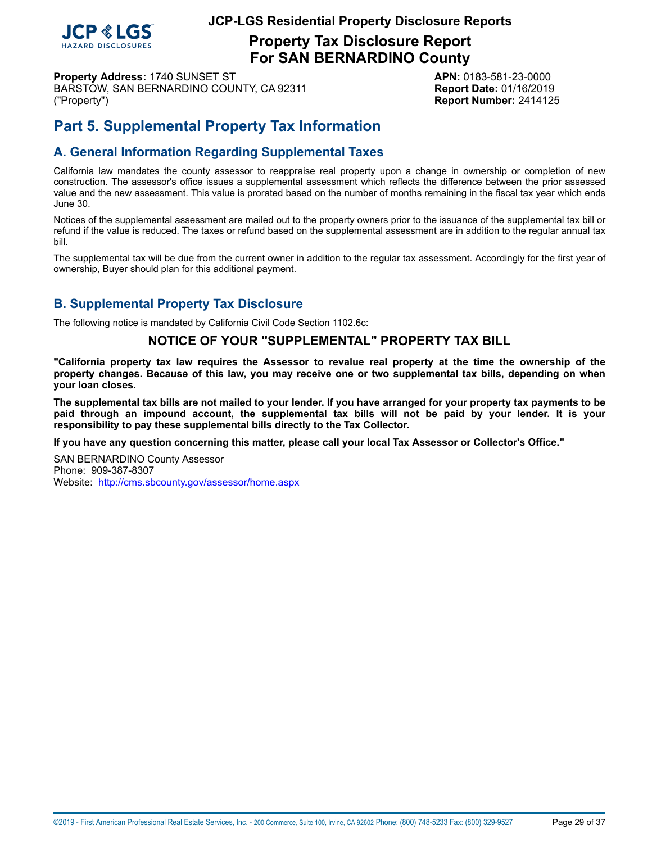

**Property Tax Disclosure Report For SAN BERNARDINO County**

**Property Address:** 1740 SUNSET ST **APN:** 0183-581-23-0000 BARSTOW, SAN BERNARDINO COUNTY, CA 92311 **Report Date:** 01/16/2019 ("Property") **Report Number:** 2414125

# **Part 5. Supplemental Property Tax Information**

# **A. General Information Regarding Supplemental Taxes**

California law mandates the county assessor to reappraise real property upon a change in ownership or completion of new construction. The assessor's office issues a supplemental assessment which reflects the difference between the prior assessed value and the new assessment. This value is prorated based on the number of months remaining in the fiscal tax year which ends June 30.

Notices of the supplemental assessment are mailed out to the property owners prior to the issuance of the supplemental tax bill or refund if the value is reduced. The taxes or refund based on the supplemental assessment are in addition to the regular annual tax bill.

The supplemental tax will be due from the current owner in addition to the regular tax assessment. Accordingly for the first year of ownership, Buyer should plan for this additional payment.

# **B. Supplemental Property Tax Disclosure**

The following notice is mandated by California Civil Code Section 1102.6c:

### **NOTICE OF YOUR "SUPPLEMENTAL" PROPERTY TAX BILL**

"California property tax law requires the Assessor to revalue real property at the time the ownership of the property changes. Because of this law, you may receive one or two supplemental tax bills, depending on when **your loan closes.**

The supplemental tax bills are not mailed to your lender. If you have arranged for your property tax payments to be paid through an impound account, the supplemental tax bills will not be paid by your lender. It is your **responsibility to pay these supplemental bills directly to the Tax Collector.**

**If you have any question concerning this matter, please call your local Tax Assessor or Collector's Office."**

SAN BERNARDINO County Assessor Phone: 909-387-8307 Website: <http://cms.sbcounty.gov/assessor/home.aspx>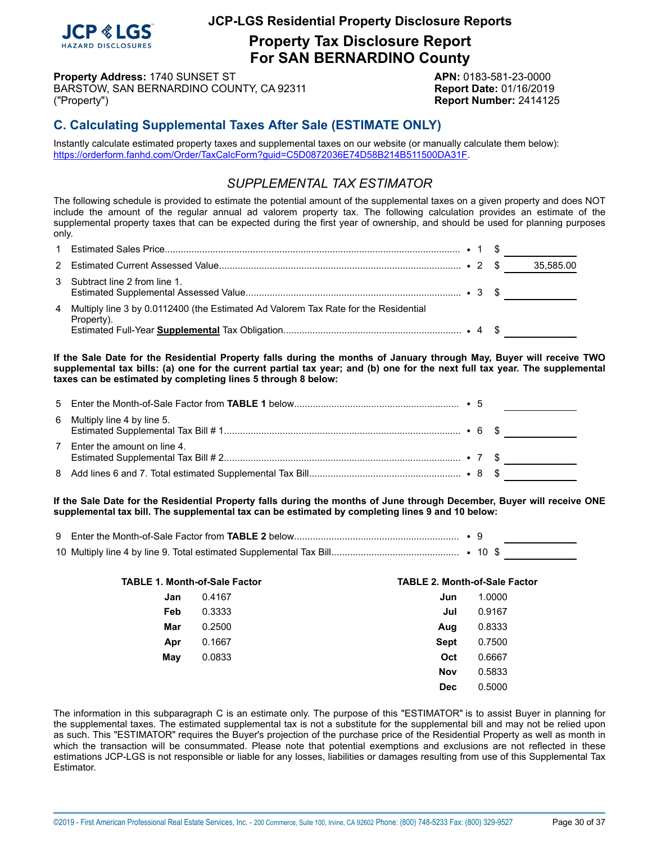

**Property Tax Disclosure Report For SAN BERNARDINO County**

**Property Address:** 1740 SUNSET ST **APN:** 0183-581-23-0000 BARSTOW, SAN BERNARDINO COUNTY, CA 92311 Report Date: 01/16/2019 ("Property") **Report Number:** 2414125

# **C. Calculating Supplemental Taxes After Sale (ESTIMATE ONLY)**

Instantly calculate estimated property taxes and supplemental taxes on our website (or manually calculate them below): <https://orderform.fanhd.com/Order/TaxCalcForm?guid=C5D0872036E74D58B214B511500DA31F>.

### *SUPPLEMENTAL TAX ESTIMATOR*

The following schedule is provided to estimate the potential amount of the supplemental taxes on a given property and does NOT include the amount of the regular annual ad valorem property tax. The following calculation provides an estimate of the supplemental property taxes that can be expected during the first year of ownership, and should be used for planning purposes only.

|                                                                                                     |  | 35,585.00 |
|-----------------------------------------------------------------------------------------------------|--|-----------|
| 3 Subtract line 2 from line 1.                                                                      |  |           |
| 4 Multiply line 3 by 0.0112400 (the Estimated Ad Valorem Tax Rate for the Residential<br>Property). |  |           |

If the Sale Date for the Residential Property falls during the months of January through May, Buyer will receive TWO supplemental tax bills: (a) one for the current partial tax year; and (b) one for the next full tax year. The supplemental **taxes can be estimated by completing lines 5 through 8 below:**

| 6 Multiply line 4 by line 5.  |  |  |
|-------------------------------|--|--|
| 7 Enter the amount on line 4. |  |  |
|                               |  |  |

If the Sale Date for the Residential Property falls during the months of June through December, Buyer will receive ONE **supplemental tax bill. The supplemental tax can be estimated by completing lines 9 and 10 below:**

| <b>TABLE 1. Month-of-Sale Factor</b> |        | <b>TABLE 2. Month-of-Sale Factor</b> |        |  |  |  |
|--------------------------------------|--------|--------------------------------------|--------|--|--|--|
| Jan                                  | 0.4167 | Jun                                  | 1.0000 |  |  |  |
| Feb                                  | 0.3333 | Jul                                  | 0.9167 |  |  |  |
| Mar                                  | 0.2500 | Aug                                  | 0.8333 |  |  |  |
| Apr                                  | 0.1667 | <b>Sept</b>                          | 0.7500 |  |  |  |
| May                                  | 0.0833 | Oct                                  | 0.6667 |  |  |  |
|                                      |        | Nov                                  | 0.5833 |  |  |  |
|                                      |        | <b>Dec</b>                           | 0.5000 |  |  |  |

The information in this subparagraph C is an estimate only. The purpose of this "ESTIMATOR" is to assist Buyer in planning for the supplemental taxes. The estimated supplemental tax is not a substitute for the supplemental bill and may not be relied upon as such. This "ESTIMATOR" requires the Buyer's projection of the purchase price of the Residential Property as well as month in which the transaction will be consummated. Please note that potential exemptions and exclusions are not reflected in these estimations JCP-LGS is not responsible or liable for any losses, liabilities or damages resulting from use of this Supplemental Tax Estimator.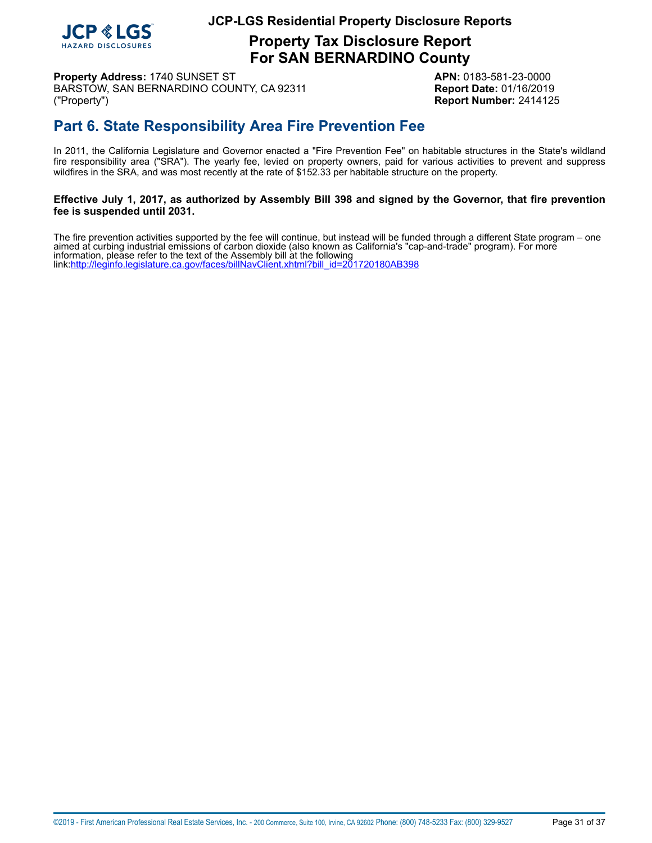

**Property Tax Disclosure Report For SAN BERNARDINO County**

**Property Address:** 1740 SUNSET ST **APN:** 0183-581-23-0000 BARSTOW, SAN BERNARDINO COUNTY, CA 92311 **Report Date:** 01/16/2019 ("Property") **Report Number:** 2414125

# <span id="page-30-0"></span>**Part 6. State Responsibility Area Fire Prevention Fee**

In 2011, the California Legislature and Governor enacted a "Fire Prevention Fee" on habitable structures in the State's wildland fire responsibility area ("SRA"). The yearly fee, levied on property owners, paid for various activities to prevent and suppress wildfires in the SRA, and was most recently at the rate of \$152.33 per habitable structure on the property.

# Effective July 1, 2017, as authorized by Assembly Bill 398 and signed by the Governor, that fire prevention **fee is suspended until 2031.**

 The fire prevention activities supported by the fee will continue, but instead will be funded through a different State program – one aimed at curbing industrial emissions of carbon dioxide (also known as California's "cap-and-trade" program). For more information, please refer to the text of the Assembly bill at the following link[:http://leginfo.legislature.ca.gov/faces/billNavClient.xhtml?bill\\_id=201720180AB398](http://leginfo.legislature.ca.gov/faces/billNavClient.xhtml?bill_id=201720180AB398)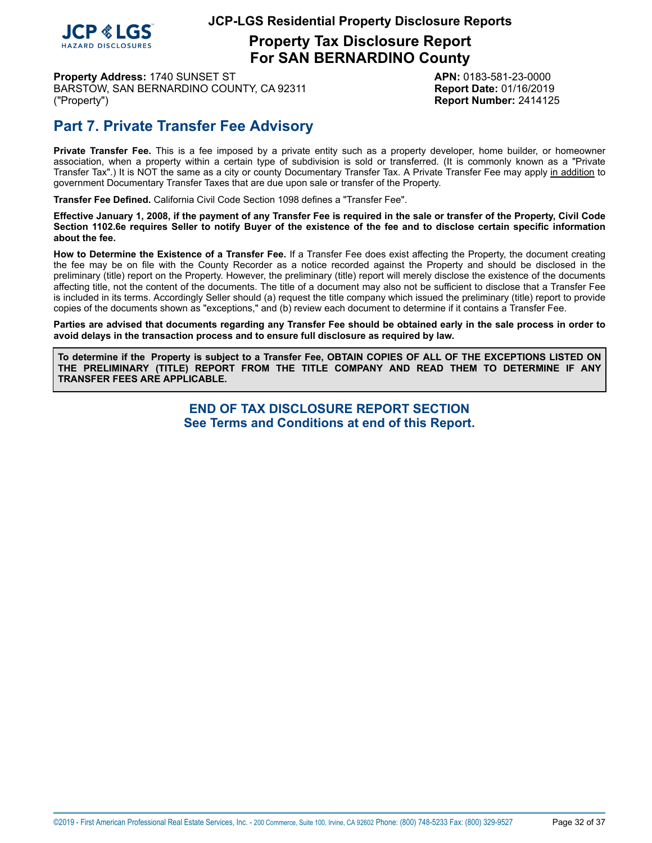

**Property Tax Disclosure Report For SAN BERNARDINO County**

**Property Address:** 1740 SUNSET ST **APN:** 0183-581-23-0000 BARSTOW, SAN BERNARDINO COUNTY, CA 92311 **Report Date:** 01/16/2019 ("Property") **Report Number:** 2414125

# **Part 7. Private Transfer Fee Advisory**

**Private Transfer Fee.** This is a fee imposed by a private entity such as a property developer, home builder, or homeowner association, when a property within a certain type of subdivision is sold or transferred. (It is commonly known as a "Private Transfer Tax".) It is NOT the same as a city or county Documentary Transfer Tax. A Private Transfer Fee may apply in addition to government Documentary Transfer Taxes that are due upon sale or transfer of the Property.

**Transfer Fee Defined.** California Civil Code Section 1098 defines a "Transfer Fee".

Effective January 1, 2008, if the payment of any Transfer Fee is required in the sale or transfer of the Property, Civil Code Section 1102.6e requires Seller to notify Buyer of the existence of the fee and to disclose certain specific information **about the fee.**

**How to Determine the Existence of a Transfer Fee.** If a Transfer Fee does exist affecting the Property, the document creating the fee may be on file with the County Recorder as a notice recorded against the Property and should be disclosed in the preliminary (title) report on the Property. However, the preliminary (title) report will merely disclose the existence of the documents affecting title, not the content of the documents. The title of a document may also not be sufficient to disclose that a Transfer Fee is included in its terms. Accordingly Seller should (a) request the title company which issued the preliminary (title) report to provide copies of the documents shown as "exceptions," and (b) review each document to determine if it contains a Transfer Fee.

Parties are advised that documents regarding any Transfer Fee should be obtained early in the sale process in order to **avoid delays in the transaction process and to ensure full disclosure as required by law.**

To determine if the Property is subject to a Transfer Fee, OBTAIN COPIES OF ALL OF THE EXCEPTIONS LISTED ON **THE PRELIMINARY (TITLE) REPORT FROM THE TITLE COMPANY AND READ THEM TO DETERMINE IF ANY TRANSFER FEES ARE APPLICABLE.**

> **END OF TAX DISCLOSURE REPORT SECTION See Terms and Conditions at end of this Report.**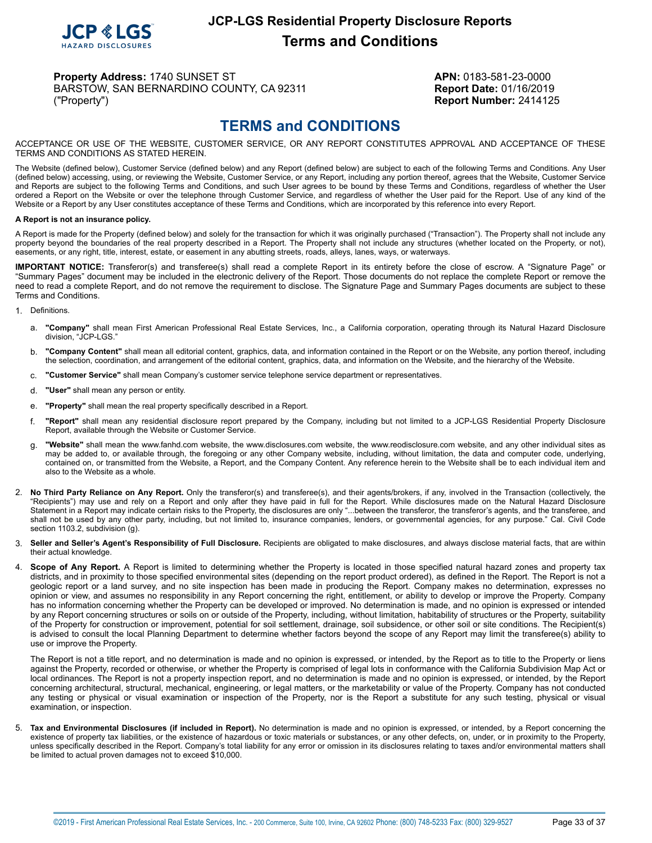

**Property Address:** 1740 SUNSET ST **APN:** 0183-581-23-0000 BARSTOW, SAN BERNARDINO COUNTY, CA 92311 Report Date: 01/16/2019 ("Property") **Report Number:** 2414125

# **TERMS and CONDITIONS**

<span id="page-32-0"></span>ACCEPTANCE OR USE OF THE WEBSITE, CUSTOMER SERVICE, OR ANY REPORT CONSTITUTES APPROVAL AND ACCEPTANCE OF THESE TERMS AND CONDITIONS AS STATED HEREIN.

The Website (defined below), Customer Service (defined below) and any Report (defined below) are subject to each of the following Terms and Conditions. Any User (defined below) accessing, using, or reviewing the Website, Customer Service, or any Report, including any portion thereof, agrees that the Website, Customer Service and Reports are subject to the following Terms and Conditions, and such User agrees to be bound by these Terms and Conditions, regardless of whether the User ordered a Report on the Website or over the telephone through Customer Service, and regardless of whether the User paid for the Report. Use of any kind of the Website or a Report by any User constitutes acceptance of these Terms and Conditions, which are incorporated by this reference into every Report.

#### **A Report is not an insurance policy.**

A Report is made for the Property (defined below) and solely for the transaction for which it was originally purchased ("Transaction"). The Property shall not include any property beyond the boundaries of the real property described in a Report. The Property shall not include any structures (whether located on the Property, or not), easements, or any right, title, interest, estate, or easement in any abutting streets, roads, alleys, lanes, ways, or waterways.

**IMPORTANT NOTICE:** Transferor(s) and transferee(s) shall read a complete Report in its entirety before the close of escrow. A "Signature Page" or "Summary Pages" document may be included in the electronic delivery of the Report. Those documents do not replace the complete Report or remove the need to read a complete Report, and do not remove the requirement to disclose. The Signature Page and Summary Pages documents are subject to these Terms and Conditions.

- 1. Definitions.
	- a. "Company" shall mean First American Professional Real Estate Services, Inc., a California corporation, operating through its Natural Hazard Disclosure division, "JCP-LGS."
	- b. **"Company Content"** shall mean all editorial content, graphics, data, and information contained in the Report or on the Website, any portion thereof, including the selection, coordination, and arrangement of the editorial content, graphics, data, and information on the Website, and the hierarchy of the Website.
	- c. **"Customer Service"** shall mean Company's customer service telephone service department or representatives.
	- d. **"User"** shall mean any person or entity.
	- e. **"Property"** shall mean the real property specifically described in a Report.
	- f. **"Report"** shall mean any residential disclosure report prepared by the Company, including but not limited to a JCP-LGS Residential Property Disclosure Report, available through the Website or Customer Service.
	- g. **"Website"** shall mean the www.fanhd.com website, the www.disclosures.com website, the www.reodisclosure.com website, and any other individual sites as may be added to, or available through, the foregoing or any other Company website, including, without limitation, the data and computer code, underlying, contained on, or transmitted from the Website, a Report, and the Company Content. Any reference herein to the Website shall be to each individual item and also to the Website as a whole.
- 2. **No Third Party Reliance on Any Report.** Only the transferor(s) and transferee(s), and their agents/brokers, if any, involved in the Transaction (collectively, the "Recipients") may use and rely on a Report and only after they have paid in full for the Report. While disclosures made on the Natural Hazard Disclosure Statement in a Report may indicate certain risks to the Property, the disclosures are only "...between the transferor, the transferor's agents, and the transferee, and shall not be used by any other party, including, but not limited to, insurance companies, lenders, or governmental agencies, for any purpose." Cal. Civil Code section 1103.2, subdivision (g).
- 3. **Seller and Seller's Agent's Responsibility of Full Disclosure.** Recipients are obligated to make disclosures, and always disclose material facts, that are within their actual knowledge.
- Scope of Any Report. A Report is limited to determining whether the Property is located in those specified natural hazard zones and property tax districts, and in proximity to those specified environmental sites (depending on the report product ordered), as defined in the Report. The Report is not a geologic report or a land survey, and no site inspection has been made in producing the Report. Company makes no determination, expresses no opinion or view, and assumes no responsibility in any Report concerning the right, entitlement, or ability to develop or improve the Property. Company has no information concerning whether the Property can be developed or improved. No determination is made, and no opinion is expressed or intended by any Report concerning structures or soils on or outside of the Property, including, without limitation, habitability of structures or the Property, suitability of the Property for construction or improvement, potential for soil settlement, drainage, soil subsidence, or other soil or site conditions. The Recipient(s) is advised to consult the local Planning Department to determine whether factors beyond the scope of any Report may limit the transferee(s) ability to use or improve the Property.

The Report is not a title report, and no determination is made and no opinion is expressed, or intended, by the Report as to title to the Property or liens against the Property, recorded or otherwise, or whether the Property is comprised of legal lots in conformance with the California Subdivision Map Act or local ordinances. The Report is not a property inspection report, and no determination is made and no opinion is expressed, or intended, by the Report concerning architectural, structural, mechanical, engineering, or legal matters, or the marketability or value of the Property. Company has not conducted any testing or physical or visual examination or inspection of the Property, nor is the Report a substitute for any such testing, physical or visual examination, or inspection.

5. **Tax and Environmental Disclosures (if included in Report).** No determination is made and no opinion is expressed, or intended, by a Report concerning the existence of property tax liabilities, or the existence of hazardous or toxic materials or substances, or any other defects, on, under, or in proximity to the Property, unless specifically described in the Report. Company's total liability for any error or omission in its disclosures relating to taxes and/or environmental matters shall be limited to actual proven damages not to exceed \$10,000.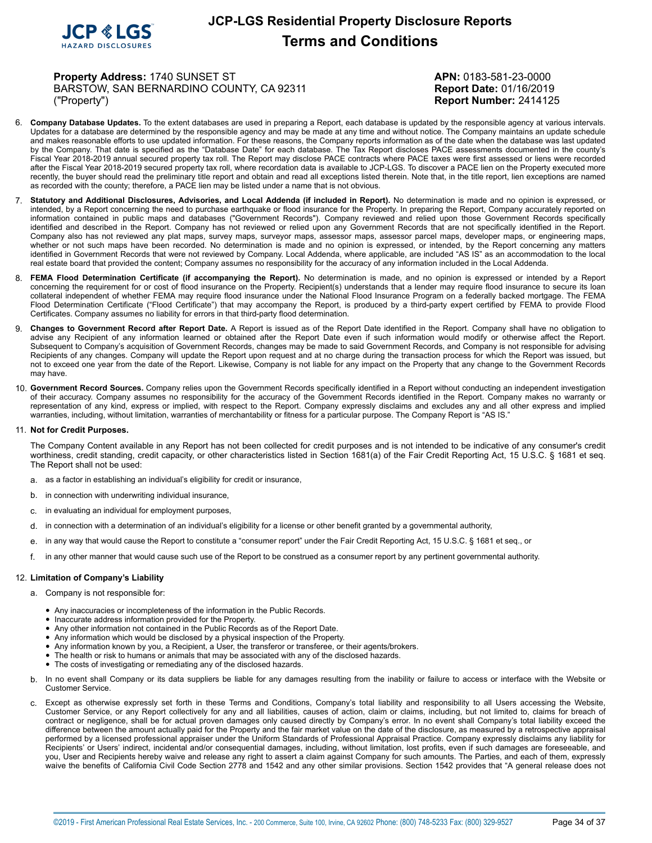

**Property Address:** 1740 SUNSET ST **APN:** 0183-581-23-0000 BARSTOW, SAN BERNARDINO COUNTY, CA 92311 Report Date: 01/16/2019 ("Property") **Report Number:** 2414125

- 6. **Company Database Updates.** To the extent databases are used in preparing a Report, each database is updated by the responsible agency at various intervals. Updates for a database are determined by the responsible agency and may be made at any time and without notice. The Company maintains an update schedule and makes reasonable efforts to use updated information. For these reasons, the Company reports information as of the date when the database was last updated by the Company. That date is specified as the "Database Date" for each database. The Tax Report discloses PACE assessments documented in the county's Fiscal Year 2018-2019 annual secured property tax roll. The Report may disclose PACE contracts where PACE taxes were first assessed or liens were recorded after the Fiscal Year 2018-2019 secured property tax roll, where recordation data is available to JCP-LGS. To discover a PACE lien on the Property executed more recently, the buyer should read the preliminary title report and obtain and read all exceptions listed therein. Note that, in the title report, lien exceptions are named as recorded with the county; therefore, a PACE lien may be listed under a name that is not obvious.
- 7. Statutory and Additional Disclosures, Advisories, and Local Addenda (if included in Report). No determination is made and no opinion is expressed, or intended, by a Report concerning the need to purchase earthquake or flood insurance for the Property. In preparing the Report, Company accurately reported on information contained in public maps and databases ("Government Records"). Company reviewed and relied upon those Government Records specifically identified and described in the Report. Company has not reviewed or relied upon any Government Records that are not specifically identified in the Report. Company also has not reviewed any plat maps, survey maps, surveyor maps, assessor maps, assessor parcel maps, developer maps, or engineering maps, whether or not such maps have been recorded. No determination is made and no opinion is expressed, or intended, by the Report concerning any matters identified in Government Records that were not reviewed by Company. Local Addenda, where applicable, are included "AS IS" as an accommodation to the local real estate board that provided the content; Company assumes no responsibility for the accuracy of any information included in the Local Addenda.
- 8. **FEMA Flood Determination Certificate (if accompanying the Report).** No determination is made, and no opinion is expressed or intended by a Report concerning the requirement for or cost of flood insurance on the Property. Recipient(s) understands that a lender may require flood insurance to secure its loan collateral independent of whether FEMA may require flood insurance under the National Flood Insurance Program on a federally backed mortgage. The FEMA Flood Determination Certificate ("Flood Certificate") that may accompany the Report, is produced by a third-party expert certified by FEMA to provide Flood Certificates. Company assumes no liability for errors in that third-party flood determination.
- 9. **Changes to Government Record after Report Date.** A Report is issued as of the Report Date identified in the Report. Company shall have no obligation to advise any Recipient of any information learned or obtained after the Report Date even if such information would modify or otherwise affect the Report. Subsequent to Company's acquisition of Government Records, changes may be made to said Government Records, and Company is not responsible for advising Recipients of any changes. Company will update the Report upon request and at no charge during the transaction process for which the Report was issued, but not to exceed one year from the date of the Report. Likewise, Company is not liable for any impact on the Property that any change to the Government Records may have.
- 10. **Government Record Sources.** Company relies upon the Government Records specifically identified in a Report without conducting an independent investigation of their accuracy. Company assumes no responsibility for the accuracy of the Government Records identified in the Report. Company makes no warranty or representation of any kind, express or implied, with respect to the Report. Company expressly disclaims and excludes any and all other express and implied warranties, including, without limitation, warranties of merchantability or fitness for a particular purpose. The Company Report is "AS IS."

#### 11. **Not for Credit Purposes.**

The Company Content available in any Report has not been collected for credit purposes and is not intended to be indicative of any consumer's credit worthiness, credit standing, credit capacity, or other characteristics listed in Section 1681(a) of the Fair Credit Reporting Act, 15 U.S.C. § 1681 et seq. The Report shall not be used:

- a. as a factor in establishing an individual's eligibility for credit or insurance,
- b. in connection with underwriting individual insurance,
- c. in evaluating an individual for employment purposes,
- d. in connection with a determination of an individual's eligibility for a license or other benefit granted by a governmental authority,
- e. in any way that would cause the Report to constitute a "consumer report" under the Fair Credit Reporting Act, 15 U.S.C. § 1681 et seq., or
- f. in any other manner that would cause such use of the Report to be construed as a consumer report by any pertinent governmental authority.

#### 12. **Limitation of Company's Liability**

- a. Company is not responsible for:
	- Any inaccuracies or incompleteness of the information in the Public Records.
	- Inaccurate address information provided for the Property.
	- Any other information not contained in the Public Records as of the Report Date.
	- Any information which would be disclosed by a physical inspection of the Property.
	- Any information known by you, a Recipient, a User, the transferor or transferee, or their agents/brokers.
	- The health or risk to humans or animals that may be associated with any of the disclosed hazards.
	- The costs of investigating or remediating any of the disclosed hazards.
- b. In no event shall Company or its data suppliers be liable for any damages resulting from the inability or failure to access or interface with the Website or Customer Service.
- c. Except as otherwise expressly set forth in these Terms and Conditions, Company's total liability and responsibility to all Users accessing the Website, Customer Service, or any Report collectively for any and all liabilities, causes of action, claim or claims, including, but not limited to, claims for breach of contract or negligence, shall be for actual proven damages only caused directly by Company's error. In no event shall Company's total liability exceed the difference between the amount actually paid for the Property and the fair market value on the date of the disclosure, as measured by a retrospective appraisal performed by a licensed professional appraiser under the Uniform Standards of Professional Appraisal Practice. Company expressly disclaims any liability for Recipients' or Users' indirect, incidental and/or consequential damages, including, without limitation, lost profits, even if such damages are foreseeable, and you, User and Recipients hereby waive and release any right to assert a claim against Company for such amounts. The Parties, and each of them, expressly waive the benefits of California Civil Code Section 2778 and 1542 and any other similar provisions. Section 1542 provides that "A general release does not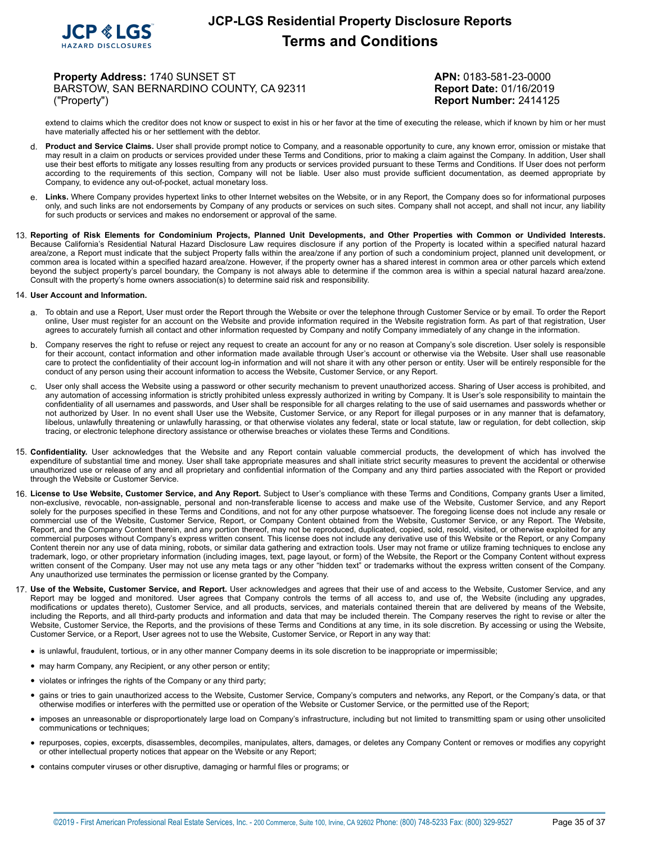

**Property Address:** 1740 SUNSET ST **APN:** 0183-581-23-0000 BARSTOW, SAN BERNARDINO COUNTY, CA 92311 Report Date: 01/16/2019 ("Property") **Report Number:** 2414125

extend to claims which the creditor does not know or suspect to exist in his or her favor at the time of executing the release, which if known by him or her must have materially affected his or her settlement with the debtor.

- d. **Product and Service Claims.** User shall provide prompt notice to Company, and a reasonable opportunity to cure, any known error, omission or mistake that may result in a claim on products or services provided under these Terms and Conditions, prior to making a claim against the Company. In addition, User shall use their best efforts to mitigate any losses resulting from any products or services provided pursuant to these Terms and Conditions. If User does not perform according to the requirements of this section, Company will not be liable. User also must provide sufficient documentation, as deemed appropriate by Company, to evidence any out-of-pocket, actual monetary loss.
- e. **Links.** Where Company provides hypertext links to other Internet websites on the Website, or in any Report, the Company does so for informational purposes only, and such links are not endorsements by Company of any products or services on such sites. Company shall not accept, and shall not incur, any liability for such products or services and makes no endorsement or approval of the same.
- 13. Reporting of Risk Elements for Condominium Projects, Planned Unit Developments, and Other Properties with Common or Undivided Interests. Because California's Residential Natural Hazard Disclosure Law requires disclosure if any portion of the Property is located within a specified natural hazard area/zone, a Report must indicate that the subject Property falls within the area/zone if any portion of such a condominium project, planned unit development, or common area is located within a specified hazard area/zone. However, if the property owner has a shared interest in common area or other parcels which extend beyond the subject property's parcel boundary, the Company is not always able to determine if the common area is within a special natural hazard area/zone. Consult with the property's home owners association(s) to determine said risk and responsibility.

#### 14. **User Account and Information.**

- a. To obtain and use a Report, User must order the Report through the Website or over the telephone through Customer Service or by email. To order the Report online, User must register for an account on the Website and provide information required in the Website registration form. As part of that registration, User agrees to accurately furnish all contact and other information requested by Company and notify Company immediately of any change in the information.
- b. Company reserves the right to refuse or reject any request to create an account for any or no reason at Company's sole discretion. User solely is responsible for their account, contact information and other information made available through User's account or otherwise via the Website. User shall use reasonable care to protect the confidentiality of their account log-in information and will not share it with any other person or entity. User will be entirely responsible for the conduct of any person using their account information to access the Website, Customer Service, or any Report.
- c. User only shall access the Website using a password or other security mechanism to prevent unauthorized access. Sharing of User access is prohibited, and any automation of accessing information is strictly prohibited unless expressly authorized in writing by Company. It is User's sole responsibility to maintain the confidentiality of all usernames and passwords, and User shall be responsible for all charges relating to the use of said usernames and passwords whether or not authorized by User. In no event shall User use the Website, Customer Service, or any Report for illegal purposes or in any manner that is defamatory, libelous, unlawfully threatening or unlawfully harassing, or that otherwise violates any federal, state or local statute, law or regulation, for debt collection, skip tracing, or electronic telephone directory assistance or otherwise breaches or violates these Terms and Conditions.
- 15. **Confidentiality.** User acknowledges that the Website and any Report contain valuable commercial products, the development of which has involved the expenditure of substantial time and money. User shall take appropriate measures and shall initiate strict security measures to prevent the accidental or otherwise unauthorized use or release of any and all proprietary and confidential information of the Company and any third parties associated with the Report or provided through the Website or Customer Service.
- 16. **License to Use Website, Customer Service, and Any Report.** Subject to User's compliance with these Terms and Conditions, Company grants User a limited, non-exclusive, revocable, non-assignable, personal and non-transferable license to access and make use of the Website, Customer Service, and any Report solely for the purposes specified in these Terms and Conditions, and not for any other purpose whatsoever. The foregoing license does not include any resale or commercial use of the Website, Customer Service, Report, or Company Content obtained from the Website, Customer Service, or any Report. The Website, Report, and the Company Content therein, and any portion thereof, may not be reproduced, duplicated, copied, sold, resold, visited, or otherwise exploited for any commercial purposes without Company's express written consent. This license does not include any derivative use of this Website or the Report, or any Company Content therein nor any use of data mining, robots, or similar data gathering and extraction tools. User may not frame or utilize framing techniques to enclose any trademark, logo, or other proprietary information (including images, text, page layout, or form) of the Website, the Report or the Company Content without express written consent of the Company. User may not use any meta tags or any other "hidden text" or trademarks without the express written consent of the Company. Any unauthorized use terminates the permission or license granted by the Company.
- 17. **Use of the Website, Customer Service, and Report.** User acknowledges and agrees that their use of and access to the Website, Customer Service, and any Report may be logged and monitored. User agrees that Company controls the terms of all access to, and use of, the Website (including any upgrades, modifications or updates thereto), Customer Service, and all products, services, and materials contained therein that are delivered by means of the Website, including the Reports, and all third-party products and information and data that may be included therein. The Company reserves the right to revise or alter the Website, Customer Service, the Reports, and the provisions of these Terms and Conditions at any time, in its sole discretion. By accessing or using the Website, Customer Service, or a Report, User agrees not to use the Website, Customer Service, or Report in any way that:
	- is unlawful, fraudulent, tortious, or in any other manner Company deems in its sole discretion to be inappropriate or impermissible;
	- may harm Company, any Recipient, or any other person or entity;
	- violates or infringes the rights of the Company or any third party;
	- gains or tries to gain unauthorized access to the Website, Customer Service, Company's computers and networks, any Report, or the Company's data, or that otherwise modifies or interferes with the permitted use or operation of the Website or Customer Service, or the permitted use of the Report;
	- imposes an unreasonable or disproportionately large load on Company's infrastructure, including but not limited to transmitting spam or using other unsolicited communications or techniques;
	- repurposes, copies, excerpts, disassembles, decompiles, manipulates, alters, damages, or deletes any Company Content or removes or modifies any copyright or other intellectual property notices that appear on the Website or any Report;
	- contains computer viruses or other disruptive, damaging or harmful files or programs; or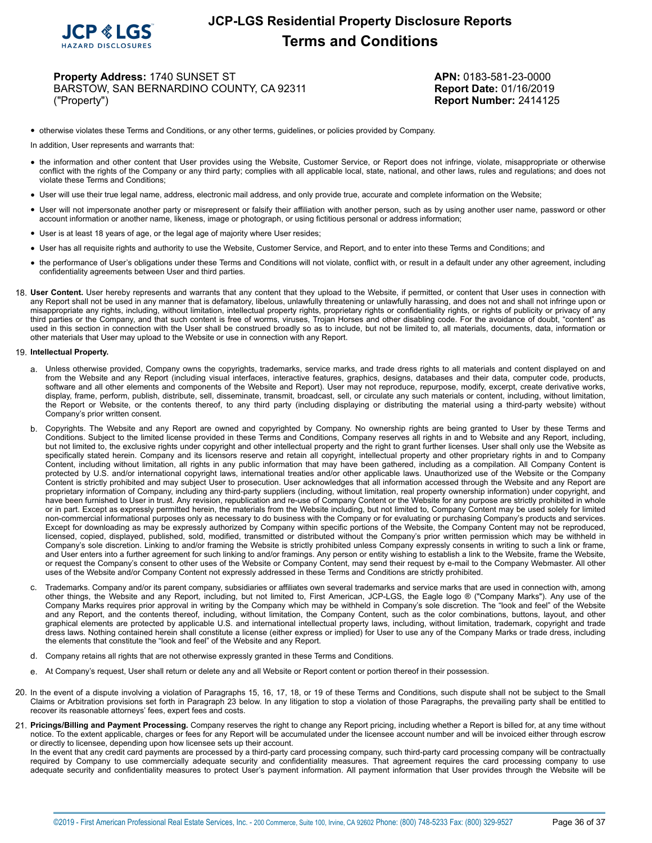

**Property Address:** 1740 SUNSET ST **APN:** 0183-581-23-0000 BARSTOW, SAN BERNARDINO COUNTY, CA 92311 **Report Date:** 01/16/2019 ("Property") **Report Number:** 2414125

• otherwise violates these Terms and Conditions, or any other terms, guidelines, or policies provided by Company.

In addition, User represents and warrants that:

- the information and other content that User provides using the Website, Customer Service, or Report does not infringe, violate, misappropriate or otherwise conflict with the rights of the Company or any third party; complies with all applicable local, state, national, and other laws, rules and regulations; and does not violate these Terms and Conditions;
- User will use their true legal name, address, electronic mail address, and only provide true, accurate and complete information on the Website;
- User will not impersonate another party or misrepresent or falsify their affiliation with another person, such as by using another user name, password or other account information or another name, likeness, image or photograph, or using fictitious personal or address information;
- User is at least 18 years of age, or the legal age of majority where User resides;
- User has all requisite rights and authority to use the Website, Customer Service, and Report, and to enter into these Terms and Conditions; and
- the performance of User's obligations under these Terms and Conditions will not violate, conflict with, or result in <sup>a</sup> default under any other agreement, including confidentiality agreements between User and third parties.
- 18. **User Content.** User hereby represents and warrants that any content that they upload to the Website, if permitted, or content that User uses in connection with any Report shall not be used in any manner that is defamatory, libelous, unlawfully threatening or unlawfully harassing, and does not and shall not infringe upon or misappropriate any rights, including, without limitation, intellectual property rights, proprietary rights or confidentiality rights, or rights of publicity or privacy of any third parties or the Company, and that such content is free of worms, viruses, Trojan Horses and other disabling code. For the avoidance of doubt, "content" as used in this section in connection with the User shall be construed broadly so as to include, but not be limited to, all materials, documents, data, information or other materials that User may upload to the Website or use in connection with any Report.

#### 19. **Intellectual Property.**

- a. Unless otherwise provided, Company owns the copyrights, trademarks, service marks, and trade dress rights to all materials and content displayed on and from the Website and any Report (including visual interfaces, interactive features, graphics, designs, databases and their data, computer code, products, software and all other elements and components of the Website and Report). User may not reproduce, repurpose, modify, excerpt, create derivative works, display, frame, perform, publish, distribute, sell, disseminate, transmit, broadcast, sell, or circulate any such materials or content, including, without limitation, the Report or Website, or the contents thereof, to any third party (including displaying or distributing the material using a third-party website) without Company's prior written consent.
- b. Copyrights. The Website and any Report are owned and copyrighted by Company. No ownership rights are being granted to User by these Terms and Conditions. Subject to the limited license provided in these Terms and Conditions, Company reserves all rights in and to Website and any Report, including, but not limited to, the exclusive rights under copyright and other intellectual property and the right to grant further licenses. User shall only use the Website as specifically stated herein. Company and its licensors reserve and retain all copyright, intellectual property and other proprietary rights in and to Company Content, including without limitation, all rights in any public information that may have been gathered, including as a compilation. All Company Content is protected by U.S. and/or international copyright laws, international treaties and/or other applicable laws. Unauthorized use of the Website or the Company Content is strictly prohibited and may subject User to prosecution. User acknowledges that all information accessed through the Website and any Report are proprietary information of Company, including any third-party suppliers (including, without limitation, real property ownership information) under copyright, and have been furnished to User in trust. Any revision, republication and re-use of Company Content or the Website for any purpose are strictly prohibited in whole or in part. Except as expressly permitted herein, the materials from the Website including, but not limited to, Company Content may be used solely for limited non-commercial informational purposes only as necessary to do business with the Company or for evaluating or purchasing Company's products and services. Except for downloading as may be expressly authorized by Company within specific portions of the Website, the Company Content may not be reproduced, licensed, copied, displayed, published, sold, modified, transmitted or distributed without the Company's prior written permission which may be withheld in Company's sole discretion. Linking to and/or framing the Website is strictly prohibited unless Company expressly consents in writing to such a link or frame, and User enters into a further agreement for such linking to and/or framings. Any person or entity wishing to establish a link to the Website, frame the Website, or request the Company's consent to other uses of the Website or Company Content, may send their request by e-mail to the Company Webmaster. All other uses of the Website and/or Company Content not expressly addressed in these Terms and Conditions are strictly prohibited.
- c. Trademarks. Company and/or its parent company, subsidiaries or affiliates own several trademarks and service marks that are used in connection with, among other things, the Website and any Report, including, but not limited to, First American, JCP-LGS, the Eagle logo ® ("Company Marks"). Any use of the Company Marks requires prior approval in writing by the Company which may be withheld in Company's sole discretion. The "look and feel" of the Website and any Report, and the contents thereof, including, without limitation, the Company Content, such as the color combinations, buttons, layout, and other graphical elements are protected by applicable U.S. and international intellectual property laws, including, without limitation, trademark, copyright and trade dress laws. Nothing contained herein shall constitute a license (either express or implied) for User to use any of the Company Marks or trade dress, including the elements that constitute the "look and feel" of the Website and any Report.
- d. Company retains all rights that are not otherwise expressly granted in these Terms and Conditions.
- e. At Company's request, User shall return or delete any and all Website or Report content or portion thereof in their possession.
- 20. In the event of a dispute involving a violation of Paragraphs 15, 16, 17, 18, or 19 of these Terms and Conditions, such dispute shall not be subject to the Small Claims or Arbitration provisions set forth in Paragraph 23 below. In any litigation to stop a violation of those Paragraphs, the prevailing party shall be entitled to recover its reasonable attorneys' fees, expert fees and costs.
- 21. Pricings/Billing and Payment Processing. Company reserves the right to change any Report pricing, including whether a Report is billed for, at any time without<br>notice. To the extent applicable, charges or fees for any or directly to licensee, depending upon how licensee sets up their account.

In the event that any credit card payments are processed by a third-party card processing company, such third-party card processing company will be contractually required by Company to use commercially adequate security and confidentiality measures. That agreement requires the card processing company to use adequate security and confidentiality measures to protect User's payment information. All payment information that User provides through the Website will be